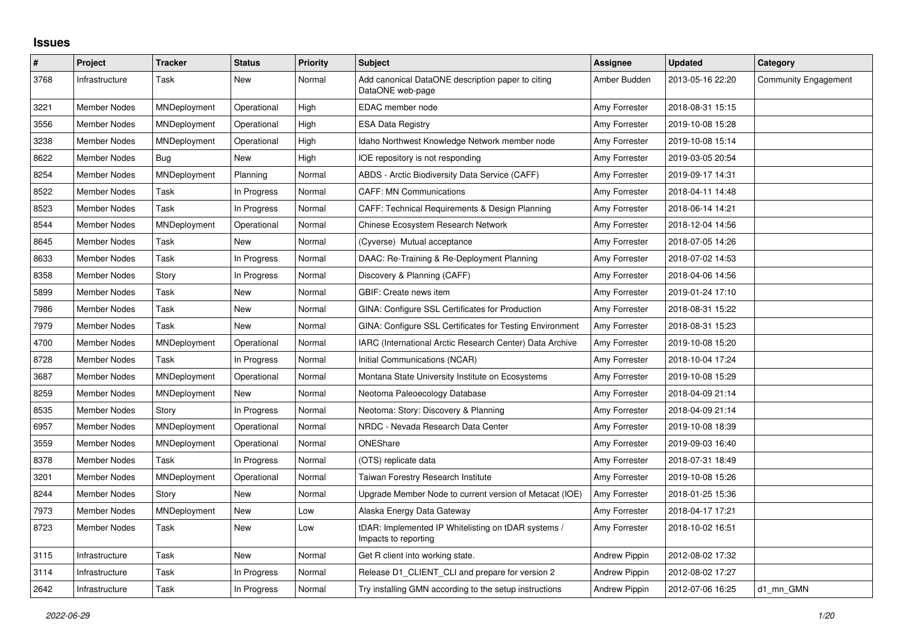## **Issues**

| $\#$ | Project             | <b>Tracker</b>      | <b>Status</b> | <b>Priority</b> | <b>Subject</b>                                                              | Assignee             | <b>Updated</b>   | Category                    |
|------|---------------------|---------------------|---------------|-----------------|-----------------------------------------------------------------------------|----------------------|------------------|-----------------------------|
| 3768 | Infrastructure      | Task                | New           | Normal          | Add canonical DataONE description paper to citing<br>DataONE web-page       | Amber Budden         | 2013-05-16 22:20 | <b>Community Engagement</b> |
| 3221 | <b>Member Nodes</b> | MNDeployment        | Operational   | High            | EDAC member node                                                            | Amy Forrester        | 2018-08-31 15:15 |                             |
| 3556 | <b>Member Nodes</b> | <b>MNDeployment</b> | Operational   | High            | <b>ESA Data Registry</b>                                                    | Amy Forrester        | 2019-10-08 15:28 |                             |
| 3238 | Member Nodes        | <b>MNDeployment</b> | Operational   | High            | Idaho Northwest Knowledge Network member node                               | Amy Forrester        | 2019-10-08 15:14 |                             |
| 8622 | Member Nodes        | Bug                 | New           | High            | IOE repository is not responding                                            | Amy Forrester        | 2019-03-05 20:54 |                             |
| 8254 | <b>Member Nodes</b> | MNDeployment        | Planning      | Normal          | ABDS - Arctic Biodiversity Data Service (CAFF)                              | Amy Forrester        | 2019-09-17 14:31 |                             |
| 8522 | Member Nodes        | Task                | In Progress   | Normal          | <b>CAFF: MN Communications</b>                                              | Amy Forrester        | 2018-04-11 14:48 |                             |
| 8523 | <b>Member Nodes</b> | Task                | In Progress   | Normal          | CAFF: Technical Requirements & Design Planning                              | Amy Forrester        | 2018-06-14 14:21 |                             |
| 8544 | <b>Member Nodes</b> | MNDeployment        | Operational   | Normal          | Chinese Ecosystem Research Network                                          | Amy Forrester        | 2018-12-04 14:56 |                             |
| 8645 | Member Nodes        | Task                | New           | Normal          | (Cyverse) Mutual acceptance                                                 | Amy Forrester        | 2018-07-05 14:26 |                             |
| 8633 | Member Nodes        | Task                | In Progress   | Normal          | DAAC: Re-Training & Re-Deployment Planning                                  | Amy Forrester        | 2018-07-02 14:53 |                             |
| 8358 | <b>Member Nodes</b> | Story               | In Progress   | Normal          | Discovery & Planning (CAFF)                                                 | Amy Forrester        | 2018-04-06 14:56 |                             |
| 5899 | Member Nodes        | Task                | <b>New</b>    | Normal          | GBIF: Create news item                                                      | Amy Forrester        | 2019-01-24 17:10 |                             |
| 7986 | Member Nodes        | Task                | New           | Normal          | GINA: Configure SSL Certificates for Production                             | Amy Forrester        | 2018-08-31 15:22 |                             |
| 7979 | <b>Member Nodes</b> | Task                | New           | Normal          | GINA: Configure SSL Certificates for Testing Environment                    | Amy Forrester        | 2018-08-31 15:23 |                             |
| 4700 | <b>Member Nodes</b> | MNDeployment        | Operational   | Normal          | IARC (International Arctic Research Center) Data Archive                    | Amy Forrester        | 2019-10-08 15:20 |                             |
| 8728 | Member Nodes        | Task                | In Progress   | Normal          | Initial Communications (NCAR)                                               | Amy Forrester        | 2018-10-04 17:24 |                             |
| 3687 | <b>Member Nodes</b> | MNDeployment        | Operational   | Normal          | Montana State University Institute on Ecosystems                            | Amy Forrester        | 2019-10-08 15:29 |                             |
| 8259 | <b>Member Nodes</b> | MNDeployment        | New           | Normal          | Neotoma Paleoecology Database                                               | Amy Forrester        | 2018-04-09 21:14 |                             |
| 8535 | Member Nodes        | Story               | In Progress   | Normal          | Neotoma: Story: Discovery & Planning                                        | Amy Forrester        | 2018-04-09 21:14 |                             |
| 6957 | <b>Member Nodes</b> | MNDeployment        | Operational   | Normal          | NRDC - Nevada Research Data Center                                          | Amy Forrester        | 2019-10-08 18:39 |                             |
| 3559 | <b>Member Nodes</b> | MNDeployment        | Operational   | Normal          | ONEShare                                                                    | Amy Forrester        | 2019-09-03 16:40 |                             |
| 8378 | Member Nodes        | Task                | In Progress   | Normal          | (OTS) replicate data                                                        | Amy Forrester        | 2018-07-31 18:49 |                             |
| 3201 | <b>Member Nodes</b> | MNDeployment        | Operational   | Normal          | Taiwan Forestry Research Institute                                          | Amy Forrester        | 2019-10-08 15:26 |                             |
| 8244 | <b>Member Nodes</b> | Story               | New           | Normal          | Upgrade Member Node to current version of Metacat (IOE)                     | Amy Forrester        | 2018-01-25 15:36 |                             |
| 7973 | Member Nodes        | MNDeployment        | New           | Low             | Alaska Energy Data Gateway                                                  | Amy Forrester        | 2018-04-17 17:21 |                             |
| 8723 | Member Nodes        | Task                | <b>New</b>    | Low             | tDAR: Implemented IP Whitelisting on tDAR systems /<br>Impacts to reporting | Amy Forrester        | 2018-10-02 16:51 |                             |
| 3115 | Infrastructure      | Task                | New           | Normal          | Get R client into working state.                                            | <b>Andrew Pippin</b> | 2012-08-02 17:32 |                             |
| 3114 | Infrastructure      | Task                | In Progress   | Normal          | Release D1 CLIENT CLI and prepare for version 2                             | <b>Andrew Pippin</b> | 2012-08-02 17:27 |                             |
| 2642 | Infrastructure      | Task                | In Progress   | Normal          | Try installing GMN according to the setup instructions                      | <b>Andrew Pippin</b> | 2012-07-06 16:25 | d1_mn_GMN                   |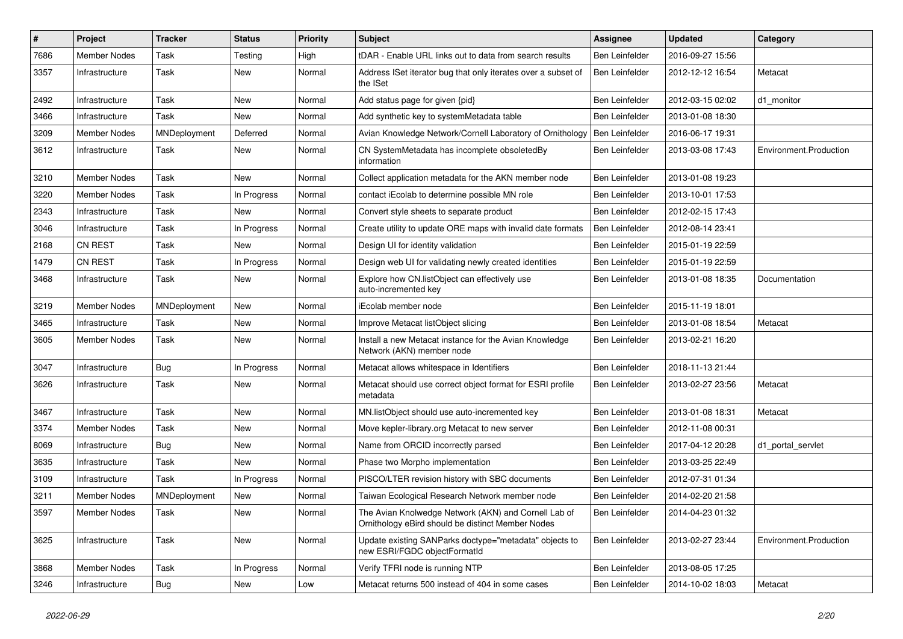| #    | Project             | <b>Tracker</b> | <b>Status</b> | <b>Priority</b> | <b>Subject</b>                                                                                            | Assignee              | <b>Updated</b>   | Category               |
|------|---------------------|----------------|---------------|-----------------|-----------------------------------------------------------------------------------------------------------|-----------------------|------------------|------------------------|
| 7686 | <b>Member Nodes</b> | Task           | Testing       | High            | tDAR - Enable URL links out to data from search results                                                   | <b>Ben Leinfelder</b> | 2016-09-27 15:56 |                        |
| 3357 | Infrastructure      | Task           | New           | Normal          | Address ISet iterator bug that only iterates over a subset of<br>the ISet                                 | Ben Leinfelder        | 2012-12-12 16:54 | Metacat                |
| 2492 | Infrastructure      | Task           | New           | Normal          | Add status page for given {pid}                                                                           | Ben Leinfelder        | 2012-03-15 02:02 | d1 monitor             |
| 3466 | Infrastructure      | Task           | New           | Normal          | Add synthetic key to systemMetadata table                                                                 | Ben Leinfelder        | 2013-01-08 18:30 |                        |
| 3209 | Member Nodes        | MNDeployment   | Deferred      | Normal          | Avian Knowledge Network/Cornell Laboratory of Ornithology                                                 | Ben Leinfelder        | 2016-06-17 19:31 |                        |
| 3612 | Infrastructure      | Task           | New           | Normal          | CN SystemMetadata has incomplete obsoletedBy<br>information                                               | Ben Leinfelder        | 2013-03-08 17:43 | Environment.Production |
| 3210 | <b>Member Nodes</b> | Task           | New           | Normal          | Collect application metadata for the AKN member node                                                      | Ben Leinfelder        | 2013-01-08 19:23 |                        |
| 3220 | <b>Member Nodes</b> | Task           | In Progress   | Normal          | contact iEcolab to determine possible MN role                                                             | Ben Leinfelder        | 2013-10-01 17:53 |                        |
| 2343 | Infrastructure      | Task           | New           | Normal          | Convert style sheets to separate product                                                                  | <b>Ben Leinfelder</b> | 2012-02-15 17:43 |                        |
| 3046 | Infrastructure      | Task           | In Progress   | Normal          | Create utility to update ORE maps with invalid date formats                                               | Ben Leinfelder        | 2012-08-14 23:41 |                        |
| 2168 | <b>CN REST</b>      | Task           | <b>New</b>    | Normal          | Design UI for identity validation                                                                         | <b>Ben Leinfelder</b> | 2015-01-19 22:59 |                        |
| 1479 | CN REST             | Task           | In Progress   | Normal          | Design web UI for validating newly created identities                                                     | Ben Leinfelder        | 2015-01-19 22:59 |                        |
| 3468 | Infrastructure      | Task           | New           | Normal          | Explore how CN.listObject can effectively use<br>auto-incremented key                                     | Ben Leinfelder        | 2013-01-08 18:35 | Documentation          |
| 3219 | <b>Member Nodes</b> | MNDeployment   | New           | Normal          | <b>iEcolab member node</b>                                                                                | Ben Leinfelder        | 2015-11-19 18:01 |                        |
| 3465 | Infrastructure      | Task           | New           | Normal          | Improve Metacat listObject slicing                                                                        | Ben Leinfelder        | 2013-01-08 18:54 | Metacat                |
| 3605 | Member Nodes        | Task           | New           | Normal          | Install a new Metacat instance for the Avian Knowledge<br>Network (AKN) member node                       | <b>Ben Leinfelder</b> | 2013-02-21 16:20 |                        |
| 3047 | Infrastructure      | Bug            | In Progress   | Normal          | Metacat allows whitespace in Identifiers                                                                  | Ben Leinfelder        | 2018-11-13 21:44 |                        |
| 3626 | Infrastructure      | Task           | New           | Normal          | Metacat should use correct object format for ESRI profile<br>metadata                                     | Ben Leinfelder        | 2013-02-27 23:56 | Metacat                |
| 3467 | Infrastructure      | Task           | New           | Normal          | MN.listObject should use auto-incremented key                                                             | Ben Leinfelder        | 2013-01-08 18:31 | Metacat                |
| 3374 | <b>Member Nodes</b> | Task           | New           | Normal          | Move kepler-library.org Metacat to new server                                                             | Ben Leinfelder        | 2012-11-08 00:31 |                        |
| 8069 | Infrastructure      | <b>Bug</b>     | New           | Normal          | Name from ORCID incorrectly parsed                                                                        | <b>Ben Leinfelder</b> | 2017-04-12 20:28 | d1 portal servlet      |
| 3635 | Infrastructure      | Task           | New           | Normal          | Phase two Morpho implementation                                                                           | <b>Ben Leinfelder</b> | 2013-03-25 22:49 |                        |
| 3109 | Infrastructure      | Task           | In Progress   | Normal          | PISCO/LTER revision history with SBC documents                                                            | Ben Leinfelder        | 2012-07-31 01:34 |                        |
| 3211 | Member Nodes        | MNDeployment   | New           | Normal          | Taiwan Ecological Research Network member node                                                            | Ben Leinfelder        | 2014-02-20 21:58 |                        |
| 3597 | Member Nodes        | Task           | New           | Normal          | The Avian Knolwedge Network (AKN) and Cornell Lab of<br>Ornithology eBird should be distinct Member Nodes | Ben Leinfelder        | 2014-04-23 01:32 |                        |
| 3625 | Infrastructure      | Task           | New           | Normal          | Update existing SANParks doctype="metadata" objects to<br>new ESRI/FGDC objectFormatId                    | Ben Leinfelder        | 2013-02-27 23:44 | Environment.Production |
| 3868 | Member Nodes        | Task           | In Progress   | Normal          | Verify TFRI node is running NTP                                                                           | Ben Leinfelder        | 2013-08-05 17:25 |                        |
| 3246 | Infrastructure      | Bug            | New           | Low             | Metacat returns 500 instead of 404 in some cases                                                          | Ben Leinfelder        | 2014-10-02 18:03 | Metacat                |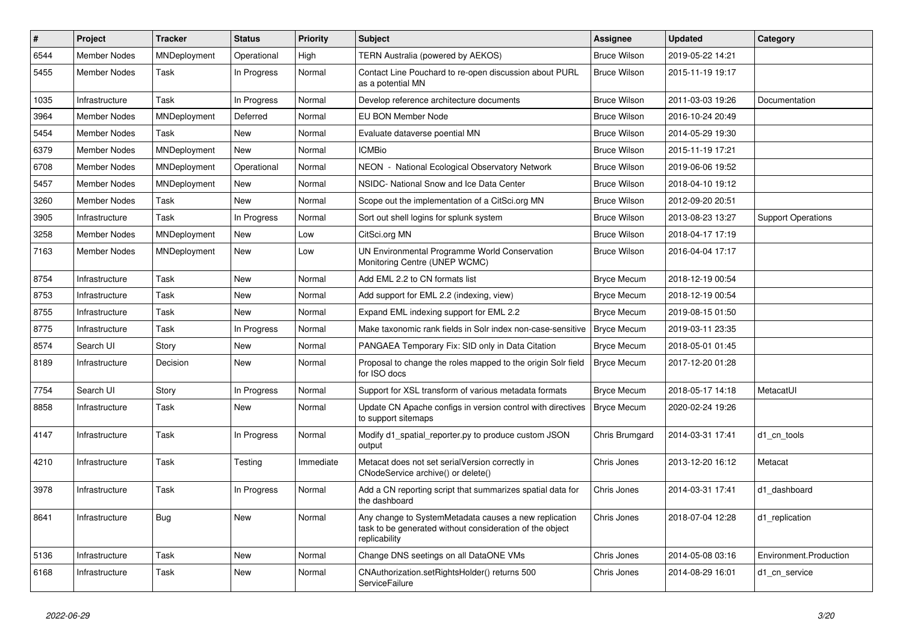| #    | Project             | <b>Tracker</b>      | <b>Status</b> | Priority  | <b>Subject</b>                                                                                                                     | <b>Assignee</b>     | <b>Updated</b>   | Category                  |
|------|---------------------|---------------------|---------------|-----------|------------------------------------------------------------------------------------------------------------------------------------|---------------------|------------------|---------------------------|
| 6544 | <b>Member Nodes</b> | MNDeployment        | Operational   | High      | TERN Australia (powered by AEKOS)                                                                                                  | <b>Bruce Wilson</b> | 2019-05-22 14:21 |                           |
| 5455 | <b>Member Nodes</b> | Task                | In Progress   | Normal    | Contact Line Pouchard to re-open discussion about PURL<br>as a potential MN                                                        | <b>Bruce Wilson</b> | 2015-11-19 19:17 |                           |
| 1035 | Infrastructure      | Task                | In Progress   | Normal    | Develop reference architecture documents                                                                                           | <b>Bruce Wilson</b> | 2011-03-03 19:26 | Documentation             |
| 3964 | <b>Member Nodes</b> | MNDeployment        | Deferred      | Normal    | EU BON Member Node                                                                                                                 | <b>Bruce Wilson</b> | 2016-10-24 20:49 |                           |
| 5454 | <b>Member Nodes</b> | Task                | <b>New</b>    | Normal    | Evaluate dataverse poential MN                                                                                                     | <b>Bruce Wilson</b> | 2014-05-29 19:30 |                           |
| 6379 | <b>Member Nodes</b> | MNDeployment        | <b>New</b>    | Normal    | <b>ICMBio</b>                                                                                                                      | <b>Bruce Wilson</b> | 2015-11-19 17:21 |                           |
| 6708 | <b>Member Nodes</b> | <b>MNDeployment</b> | Operational   | Normal    | NEON - National Ecological Observatory Network                                                                                     | <b>Bruce Wilson</b> | 2019-06-06 19:52 |                           |
| 5457 | <b>Member Nodes</b> | MNDeployment        | <b>New</b>    | Normal    | NSIDC- National Snow and Ice Data Center                                                                                           | <b>Bruce Wilson</b> | 2018-04-10 19:12 |                           |
| 3260 | <b>Member Nodes</b> | Task                | <b>New</b>    | Normal    | Scope out the implementation of a CitSci.org MN                                                                                    | <b>Bruce Wilson</b> | 2012-09-20 20:51 |                           |
| 3905 | Infrastructure      | Task                | In Progress   | Normal    | Sort out shell logins for splunk system                                                                                            | <b>Bruce Wilson</b> | 2013-08-23 13:27 | <b>Support Operations</b> |
| 3258 | <b>Member Nodes</b> | MNDeployment        | New           | Low       | CitSci.org MN                                                                                                                      | <b>Bruce Wilson</b> | 2018-04-17 17:19 |                           |
| 7163 | Member Nodes        | MNDeployment        | New           | Low       | UN Environmental Programme World Conservation<br>Monitoring Centre (UNEP WCMC)                                                     | <b>Bruce Wilson</b> | 2016-04-04 17:17 |                           |
| 8754 | Infrastructure      | Task                | New           | Normal    | Add EML 2.2 to CN formats list                                                                                                     | <b>Bryce Mecum</b>  | 2018-12-19 00:54 |                           |
| 8753 | Infrastructure      | Task                | New           | Normal    | Add support for EML 2.2 (indexing, view)                                                                                           | <b>Bryce Mecum</b>  | 2018-12-19 00:54 |                           |
| 8755 | Infrastructure      | Task                | New           | Normal    | Expand EML indexing support for EML 2.2                                                                                            | <b>Bryce Mecum</b>  | 2019-08-15 01:50 |                           |
| 8775 | Infrastructure      | Task                | In Progress   | Normal    | Make taxonomic rank fields in Solr index non-case-sensitive                                                                        | <b>Bryce Mecum</b>  | 2019-03-11 23:35 |                           |
| 8574 | Search UI           | Story               | New           | Normal    | PANGAEA Temporary Fix: SID only in Data Citation                                                                                   | <b>Bryce Mecum</b>  | 2018-05-01 01:45 |                           |
| 8189 | Infrastructure      | Decision            | New           | Normal    | Proposal to change the roles mapped to the origin Solr field<br>for ISO docs                                                       | <b>Bryce Mecum</b>  | 2017-12-20 01:28 |                           |
| 7754 | Search UI           | Story               | In Progress   | Normal    | Support for XSL transform of various metadata formats                                                                              | <b>Bryce Mecum</b>  | 2018-05-17 14:18 | MetacatUl                 |
| 8858 | Infrastructure      | Task                | <b>New</b>    | Normal    | Update CN Apache configs in version control with directives<br>to support sitemaps                                                 | <b>Bryce Mecum</b>  | 2020-02-24 19:26 |                           |
| 4147 | Infrastructure      | Task                | In Progress   | Normal    | Modify d1 spatial reporter.py to produce custom JSON<br>output                                                                     | Chris Brumgard      | 2014-03-31 17:41 | d1 cn tools               |
| 4210 | Infrastructure      | Task                | Testing       | Immediate | Metacat does not set serialVersion correctly in<br>CNodeService archive() or delete()                                              | Chris Jones         | 2013-12-20 16:12 | Metacat                   |
| 3978 | Infrastructure      | Task                | In Progress   | Normal    | Add a CN reporting script that summarizes spatial data for<br>the dashboard                                                        | Chris Jones         | 2014-03-31 17:41 | d1 dashboard              |
| 8641 | Infrastructure      | Bug                 | <b>New</b>    | Normal    | Any change to SystemMetadata causes a new replication<br>task to be generated without consideration of the object<br>replicability | Chris Jones         | 2018-07-04 12:28 | d1 replication            |
| 5136 | Infrastructure      | Task                | <b>New</b>    | Normal    | Change DNS seetings on all DataONE VMs                                                                                             | Chris Jones         | 2014-05-08 03:16 | Environment.Production    |
| 6168 | Infrastructure      | Task                | <b>New</b>    | Normal    | CNAuthorization.setRightsHolder() returns 500<br>ServiceFailure                                                                    | Chris Jones         | 2014-08-29 16:01 | d1_cn_service             |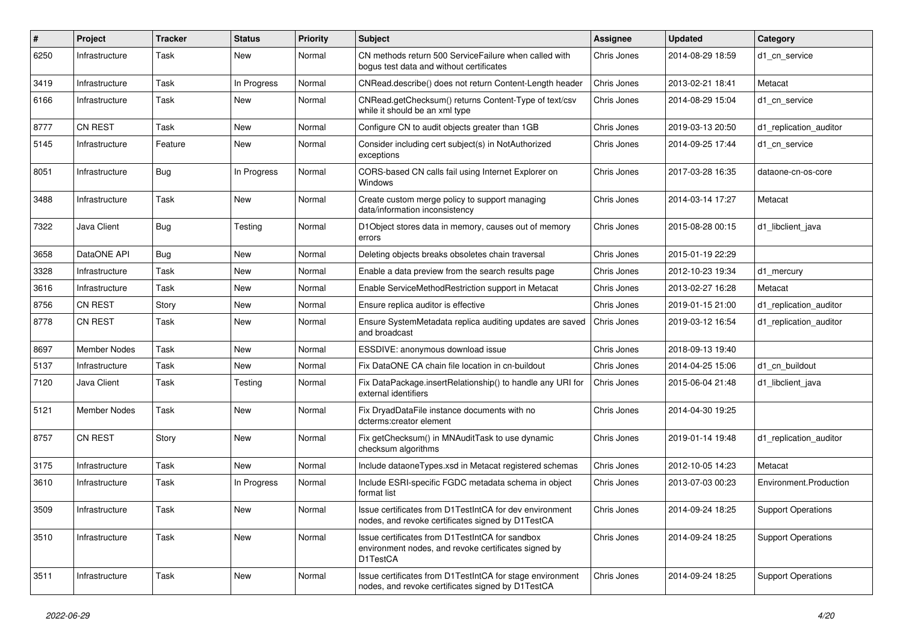| #    | Project             | <b>Tracker</b> | <b>Status</b> | <b>Priority</b> | <b>Subject</b>                                                                                                      | <b>Assignee</b> | <b>Updated</b>   | Category                  |
|------|---------------------|----------------|---------------|-----------------|---------------------------------------------------------------------------------------------------------------------|-----------------|------------------|---------------------------|
| 6250 | Infrastructure      | Task           | New           | Normal          | CN methods return 500 ServiceFailure when called with<br>bogus test data and without certificates                   | Chris Jones     | 2014-08-29 18:59 | d1 cn service             |
| 3419 | Infrastructure      | Task           | In Progress   | Normal          | CNRead.describe() does not return Content-Length header                                                             | Chris Jones     | 2013-02-21 18:41 | Metacat                   |
| 6166 | Infrastructure      | Task           | New           | Normal          | CNRead.getChecksum() returns Content-Type of text/csv<br>while it should be an xml type                             | Chris Jones     | 2014-08-29 15:04 | d1 cn service             |
| 8777 | <b>CN REST</b>      | Task           | New           | Normal          | Configure CN to audit objects greater than 1GB                                                                      | Chris Jones     | 2019-03-13 20:50 | d1 replication auditor    |
| 5145 | Infrastructure      | Feature        | New           | Normal          | Consider including cert subject(s) in NotAuthorized<br>exceptions                                                   | Chris Jones     | 2014-09-25 17:44 | d1 cn service             |
| 8051 | Infrastructure      | <b>Bug</b>     | In Progress   | Normal          | CORS-based CN calls fail using Internet Explorer on<br>Windows                                                      | Chris Jones     | 2017-03-28 16:35 | dataone-cn-os-core        |
| 3488 | Infrastructure      | Task           | New           | Normal          | Create custom merge policy to support managing<br>data/information inconsistency                                    | Chris Jones     | 2014-03-14 17:27 | Metacat                   |
| 7322 | Java Client         | Bug            | Testing       | Normal          | D1Object stores data in memory, causes out of memory<br>errors                                                      | Chris Jones     | 2015-08-28 00:15 | d1 libclient java         |
| 3658 | DataONE API         | <b>Bug</b>     | New           | Normal          | Deleting objects breaks obsoletes chain traversal                                                                   | Chris Jones     | 2015-01-19 22:29 |                           |
| 3328 | Infrastructure      | Task           | New           | Normal          | Enable a data preview from the search results page                                                                  | Chris Jones     | 2012-10-23 19:34 | d1_mercury                |
| 3616 | Infrastructure      | Task           | New           | Normal          | Enable ServiceMethodRestriction support in Metacat                                                                  | Chris Jones     | 2013-02-27 16:28 | Metacat                   |
| 8756 | <b>CN REST</b>      | Story          | New           | Normal          | Ensure replica auditor is effective                                                                                 | Chris Jones     | 2019-01-15 21:00 | d1_replication_auditor    |
| 8778 | CN REST             | Task           | New           | Normal          | Ensure SystemMetadata replica auditing updates are saved<br>and broadcast                                           | Chris Jones     | 2019-03-12 16:54 | d1_replication_auditor    |
| 8697 | <b>Member Nodes</b> | Task           | <b>New</b>    | Normal          | ESSDIVE: anonymous download issue                                                                                   | Chris Jones     | 2018-09-13 19:40 |                           |
| 5137 | Infrastructure      | Task           | New           | Normal          | Fix DataONE CA chain file location in cn-buildout                                                                   | Chris Jones     | 2014-04-25 15:06 | d1 cn buildout            |
| 7120 | Java Client         | Task           | Testing       | Normal          | Fix DataPackage.insertRelationship() to handle any URI for<br>external identifiers                                  | Chris Jones     | 2015-06-04 21:48 | d1 libclient java         |
| 5121 | Member Nodes        | Task           | New           | Normal          | Fix DryadDataFile instance documents with no<br>dcterms:creator element                                             | Chris Jones     | 2014-04-30 19:25 |                           |
| 8757 | <b>CN REST</b>      | Story          | New           | Normal          | Fix getChecksum() in MNAuditTask to use dynamic<br>checksum algorithms                                              | Chris Jones     | 2019-01-14 19:48 | d1 replication auditor    |
| 3175 | Infrastructure      | Task           | New           | Normal          | Include dataoneTypes.xsd in Metacat registered schemas                                                              | Chris Jones     | 2012-10-05 14:23 | Metacat                   |
| 3610 | Infrastructure      | Task           | In Progress   | Normal          | Include ESRI-specific FGDC metadata schema in object<br>format list                                                 | Chris Jones     | 2013-07-03 00:23 | Environment.Production    |
| 3509 | Infrastructure      | Task           | New           | Normal          | Issue certificates from D1TestIntCA for dev environment<br>nodes, and revoke certificates signed by D1TestCA        | Chris Jones     | 2014-09-24 18:25 | <b>Support Operations</b> |
| 3510 | Infrastructure      | Task           | New           | Normal          | Issue certificates from D1TestIntCA for sandbox<br>environment nodes, and revoke certificates signed by<br>D1TestCA | Chris Jones     | 2014-09-24 18:25 | <b>Support Operations</b> |
| 3511 | Infrastructure      | Task           | New           | Normal          | Issue certificates from D1TestIntCA for stage environment<br>nodes, and revoke certificates signed by D1TestCA      | Chris Jones     | 2014-09-24 18:25 | <b>Support Operations</b> |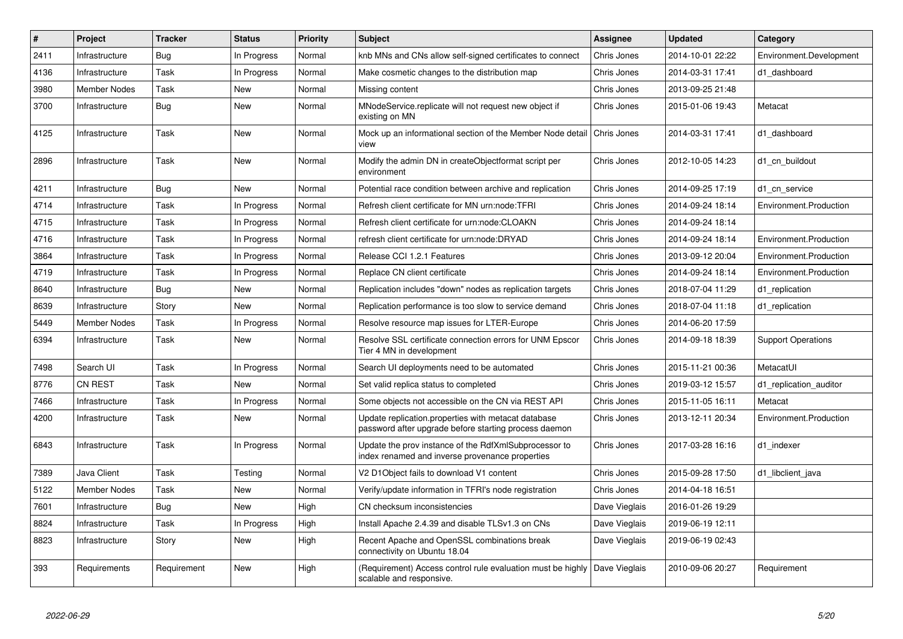| $\#$ | Project             | <b>Tracker</b> | <b>Status</b> | <b>Priority</b> | <b>Subject</b>                                                                                               | Assignee      | <b>Updated</b>   | Category                  |
|------|---------------------|----------------|---------------|-----------------|--------------------------------------------------------------------------------------------------------------|---------------|------------------|---------------------------|
| 2411 | Infrastructure      | <b>Bug</b>     | In Progress   | Normal          | knb MNs and CNs allow self-signed certificates to connect                                                    | Chris Jones   | 2014-10-01 22:22 | Environment.Development   |
| 4136 | Infrastructure      | Task           | In Progress   | Normal          | Make cosmetic changes to the distribution map                                                                | Chris Jones   | 2014-03-31 17:41 | d1 dashboard              |
| 3980 | <b>Member Nodes</b> | Task           | New           | Normal          | Missing content                                                                                              | Chris Jones   | 2013-09-25 21:48 |                           |
| 3700 | Infrastructure      | Bug            | New           | Normal          | MNodeService.replicate will not request new object if<br>existing on MN                                      | Chris Jones   | 2015-01-06 19:43 | Metacat                   |
| 4125 | Infrastructure      | Task           | <b>New</b>    | Normal          | Mock up an informational section of the Member Node detail<br>view                                           | Chris Jones   | 2014-03-31 17:41 | d1 dashboard              |
| 2896 | Infrastructure      | Task           | <b>New</b>    | Normal          | Modify the admin DN in createObjectformat script per<br>environment                                          | Chris Jones   | 2012-10-05 14:23 | d1 cn buildout            |
| 4211 | Infrastructure      | Bug            | New           | Normal          | Potential race condition between archive and replication                                                     | Chris Jones   | 2014-09-25 17:19 | d1_cn_service             |
| 4714 | Infrastructure      | Task           | In Progress   | Normal          | Refresh client certificate for MN urn:node:TFRI                                                              | Chris Jones   | 2014-09-24 18:14 | Environment.Production    |
| 4715 | Infrastructure      | Task           | In Progress   | Normal          | Refresh client certificate for urn:node:CLOAKN                                                               | Chris Jones   | 2014-09-24 18:14 |                           |
| 4716 | Infrastructure      | Task           | In Progress   | Normal          | refresh client certificate for urn:node:DRYAD                                                                | Chris Jones   | 2014-09-24 18:14 | Environment.Production    |
| 3864 | Infrastructure      | Task           | In Progress   | Normal          | Release CCI 1.2.1 Features                                                                                   | Chris Jones   | 2013-09-12 20:04 | Environment.Production    |
| 4719 | Infrastructure      | Task           | In Progress   | Normal          | Replace CN client certificate                                                                                | Chris Jones   | 2014-09-24 18:14 | Environment.Production    |
| 8640 | Infrastructure      | Bug            | <b>New</b>    | Normal          | Replication includes "down" nodes as replication targets                                                     | Chris Jones   | 2018-07-04 11:29 | d1_replication            |
| 8639 | Infrastructure      | Story          | <b>New</b>    | Normal          | Replication performance is too slow to service demand                                                        | Chris Jones   | 2018-07-04 11:18 | d1 replication            |
| 5449 | <b>Member Nodes</b> | Task           | In Progress   | Normal          | Resolve resource map issues for LTER-Europe                                                                  | Chris Jones   | 2014-06-20 17:59 |                           |
| 6394 | Infrastructure      | Task           | New           | Normal          | Resolve SSL certificate connection errors for UNM Epscor<br>Tier 4 MN in development                         | Chris Jones   | 2014-09-18 18:39 | <b>Support Operations</b> |
| 7498 | Search UI           | Task           | In Progress   | Normal          | Search UI deployments need to be automated                                                                   | Chris Jones   | 2015-11-21 00:36 | MetacatUI                 |
| 8776 | <b>CN REST</b>      | Task           | New           | Normal          | Set valid replica status to completed                                                                        | Chris Jones   | 2019-03-12 15:57 | d1_replication_auditor    |
| 7466 | Infrastructure      | Task           | In Progress   | Normal          | Some objects not accessible on the CN via REST API                                                           | Chris Jones   | 2015-11-05 16:11 | Metacat                   |
| 4200 | Infrastructure      | Task           | <b>New</b>    | Normal          | Update replication.properties with metacat database<br>password after upgrade before starting process daemon | Chris Jones   | 2013-12-11 20:34 | Environment.Production    |
| 6843 | Infrastructure      | Task           | In Progress   | Normal          | Update the prov instance of the RdfXmlSubprocessor to<br>index renamed and inverse provenance properties     | Chris Jones   | 2017-03-28 16:16 | d1 indexer                |
| 7389 | Java Client         | Task           | Testing       | Normal          | V2 D1Object fails to download V1 content                                                                     | Chris Jones   | 2015-09-28 17:50 | d1 libclient java         |
| 5122 | <b>Member Nodes</b> | Task           | <b>New</b>    | Normal          | Verify/update information in TFRI's node registration                                                        | Chris Jones   | 2014-04-18 16:51 |                           |
| 7601 | Infrastructure      | Bug            | New           | High            | CN checksum inconsistencies                                                                                  | Dave Vieglais | 2016-01-26 19:29 |                           |
| 8824 | Infrastructure      | Task           | In Progress   | High            | Install Apache 2.4.39 and disable TLSv1.3 on CNs                                                             | Dave Vieglais | 2019-06-19 12:11 |                           |
| 8823 | Infrastructure      | Story          | <b>New</b>    | High            | Recent Apache and OpenSSL combinations break<br>connectivity on Ubuntu 18.04                                 | Dave Vieglais | 2019-06-19 02:43 |                           |
| 393  | Requirements        | Requirement    | New           | High            | (Requirement) Access control rule evaluation must be highly<br>scalable and responsive.                      | Dave Vieglais | 2010-09-06 20:27 | Requirement               |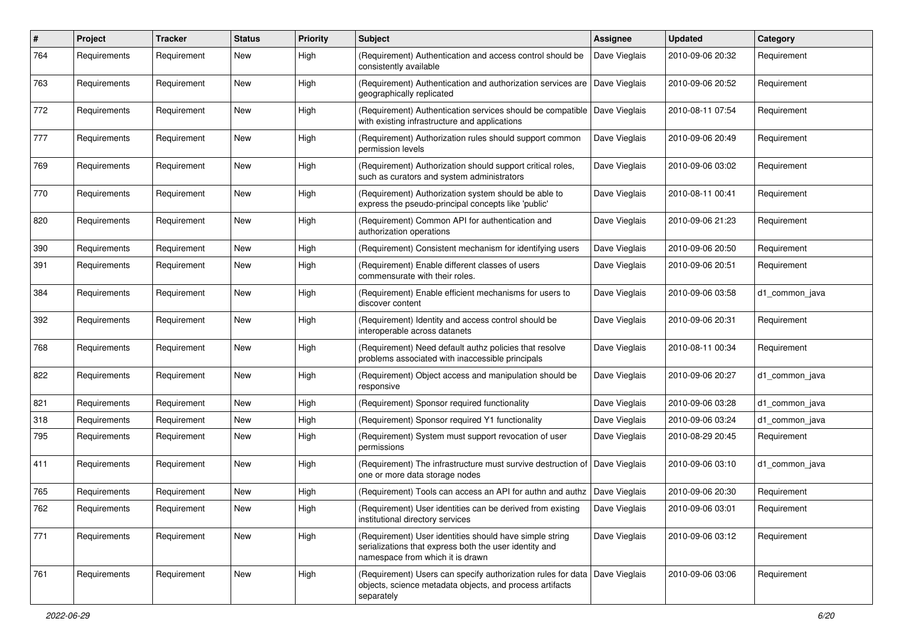| $\#$ | Project      | <b>Tracker</b> | <b>Status</b> | <b>Priority</b> | <b>Subject</b>                                                                                                                                         | <b>Assignee</b> | <b>Updated</b>   | Category       |
|------|--------------|----------------|---------------|-----------------|--------------------------------------------------------------------------------------------------------------------------------------------------------|-----------------|------------------|----------------|
| 764  | Requirements | Requirement    | New           | High            | (Requirement) Authentication and access control should be<br>consistently available                                                                    | Dave Vieglais   | 2010-09-06 20:32 | Requirement    |
| 763  | Requirements | Requirement    | New           | High            | (Requirement) Authentication and authorization services are<br>geographically replicated                                                               | Dave Vieglais   | 2010-09-06 20:52 | Requirement    |
| 772  | Requirements | Requirement    | New           | High            | (Requirement) Authentication services should be compatible   Dave Vieglais<br>with existing infrastructure and applications                            |                 | 2010-08-11 07:54 | Requirement    |
| 777  | Requirements | Requirement    | New           | High            | (Requirement) Authorization rules should support common<br>permission levels                                                                           | Dave Vieglais   | 2010-09-06 20:49 | Requirement    |
| 769  | Requirements | Requirement    | New           | High            | (Requirement) Authorization should support critical roles,<br>such as curators and system administrators                                               | Dave Vieglais   | 2010-09-06 03:02 | Requirement    |
| 770  | Requirements | Requirement    | New           | High            | (Requirement) Authorization system should be able to<br>express the pseudo-principal concepts like 'public'                                            | Dave Vieglais   | 2010-08-11 00:41 | Requirement    |
| 820  | Requirements | Requirement    | New           | High            | (Requirement) Common API for authentication and<br>authorization operations                                                                            | Dave Vieglais   | 2010-09-06 21:23 | Requirement    |
| 390  | Requirements | Requirement    | New           | High            | (Requirement) Consistent mechanism for identifying users                                                                                               | Dave Vieglais   | 2010-09-06 20:50 | Requirement    |
| 391  | Requirements | Requirement    | New           | High            | (Requirement) Enable different classes of users<br>commensurate with their roles.                                                                      | Dave Vieglais   | 2010-09-06 20:51 | Requirement    |
| 384  | Requirements | Requirement    | New           | High            | (Requirement) Enable efficient mechanisms for users to<br>discover content                                                                             | Dave Vieglais   | 2010-09-06 03:58 | d1_common_java |
| 392  | Requirements | Requirement    | New           | High            | (Requirement) Identity and access control should be<br>interoperable across datanets                                                                   | Dave Vieglais   | 2010-09-06 20:31 | Requirement    |
| 768  | Requirements | Requirement    | New           | High            | (Requirement) Need default authz policies that resolve<br>problems associated with inaccessible principals                                             | Dave Vieglais   | 2010-08-11 00:34 | Requirement    |
| 822  | Requirements | Requirement    | New           | High            | (Requirement) Object access and manipulation should be<br>responsive                                                                                   | Dave Vieglais   | 2010-09-06 20:27 | d1_common_java |
| 821  | Requirements | Requirement    | New           | High            | (Requirement) Sponsor required functionality                                                                                                           | Dave Vieglais   | 2010-09-06 03:28 | d1_common_java |
| 318  | Requirements | Requirement    | New           | High            | (Requirement) Sponsor required Y1 functionality                                                                                                        | Dave Vieglais   | 2010-09-06 03:24 | d1 common java |
| 795  | Requirements | Requirement    | New           | High            | (Requirement) System must support revocation of user<br>permissions                                                                                    | Dave Vieglais   | 2010-08-29 20:45 | Requirement    |
| 411  | Requirements | Requirement    | New           | High            | (Requirement) The infrastructure must survive destruction of<br>one or more data storage nodes                                                         | Dave Vieglais   | 2010-09-06 03:10 | d1_common_java |
| 765  | Requirements | Requirement    | New           | High            | (Requirement) Tools can access an API for authn and authz                                                                                              | Dave Vieglais   | 2010-09-06 20:30 | Requirement    |
| 762  | Requirements | Requirement    | New           | High            | (Requirement) User identities can be derived from existing<br>institutional directory services                                                         | Dave Vieglais   | 2010-09-06 03:01 | Requirement    |
| 771  | Requirements | Requirement    | New           | High            | (Requirement) User identities should have simple string<br>serializations that express both the user identity and<br>namespace from which it is drawn  | Dave Vieglais   | 2010-09-06 03:12 | Requirement    |
| 761  | Requirements | Requirement    | New           | High            | (Requirement) Users can specify authorization rules for data   Dave Vieglais<br>objects, science metadata objects, and process artifacts<br>separately |                 | 2010-09-06 03:06 | Requirement    |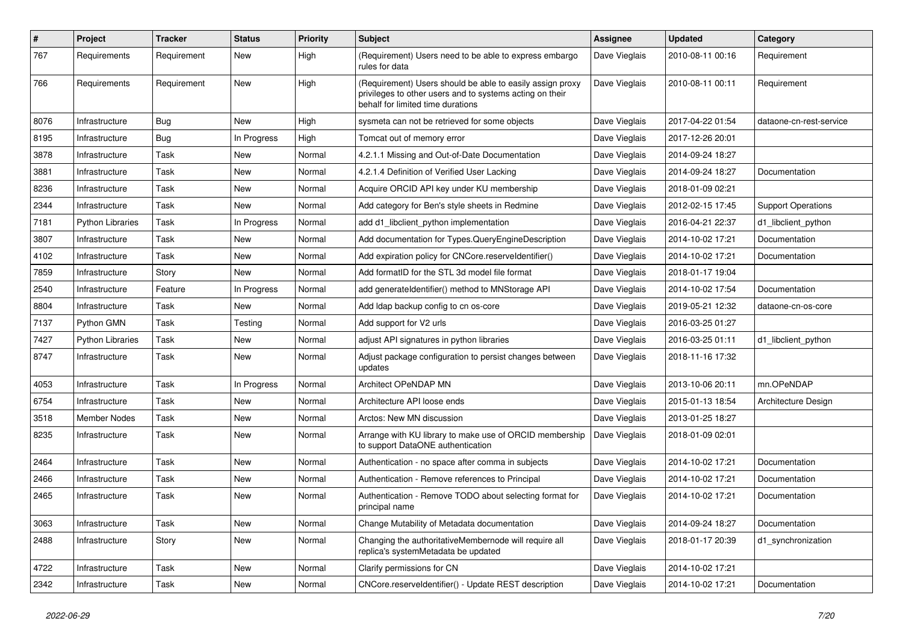| #    | Project                 | <b>Tracker</b> | <b>Status</b> | <b>Priority</b> | <b>Subject</b>                                                                                                                                             | <b>Assignee</b> | <b>Updated</b>   | Category                  |
|------|-------------------------|----------------|---------------|-----------------|------------------------------------------------------------------------------------------------------------------------------------------------------------|-----------------|------------------|---------------------------|
| 767  | Requirements            | Requirement    | New           | High            | (Requirement) Users need to be able to express embargo<br>rules for data                                                                                   | Dave Vieglais   | 2010-08-11 00:16 | Requirement               |
| 766  | Requirements            | Requirement    | New           | High            | (Requirement) Users should be able to easily assign proxy<br>privileges to other users and to systems acting on their<br>behalf for limited time durations | Dave Vieglais   | 2010-08-11 00:11 | Requirement               |
| 8076 | Infrastructure          | <b>Bug</b>     | <b>New</b>    | High            | sysmeta can not be retrieved for some objects                                                                                                              | Dave Vieglais   | 2017-04-22 01:54 | dataone-cn-rest-service   |
| 8195 | Infrastructure          | <b>Bug</b>     | In Progress   | High            | Tomcat out of memory error                                                                                                                                 | Dave Vieglais   | 2017-12-26 20:01 |                           |
| 3878 | Infrastructure          | Task           | New           | Normal          | 4.2.1.1 Missing and Out-of-Date Documentation                                                                                                              | Dave Vieglais   | 2014-09-24 18:27 |                           |
| 3881 | Infrastructure          | Task           | New           | Normal          | 4.2.1.4 Definition of Verified User Lacking                                                                                                                | Dave Vieglais   | 2014-09-24 18:27 | Documentation             |
| 8236 | Infrastructure          | Task           | <b>New</b>    | Normal          | Acquire ORCID API key under KU membership                                                                                                                  | Dave Vieglais   | 2018-01-09 02:21 |                           |
| 2344 | Infrastructure          | Task           | New           | Normal          | Add category for Ben's style sheets in Redmine                                                                                                             | Dave Vieglais   | 2012-02-15 17:45 | <b>Support Operations</b> |
| 7181 | <b>Python Libraries</b> | Task           | In Progress   | Normal          | add d1 libclient python implementation                                                                                                                     | Dave Vieglais   | 2016-04-21 22:37 | d1_libclient_python       |
| 3807 | Infrastructure          | Task           | New           | Normal          | Add documentation for Types. Query Engine Description                                                                                                      | Dave Vieglais   | 2014-10-02 17:21 | Documentation             |
| 4102 | Infrastructure          | Task           | <b>New</b>    | Normal          | Add expiration policy for CNCore.reserveldentifier()                                                                                                       | Dave Vieglais   | 2014-10-02 17:21 | Documentation             |
| 7859 | Infrastructure          | Story          | <b>New</b>    | Normal          | Add formatID for the STL 3d model file format                                                                                                              | Dave Vieglais   | 2018-01-17 19:04 |                           |
| 2540 | Infrastructure          | Feature        | In Progress   | Normal          | add generate dentifier() method to MNStorage API                                                                                                           | Dave Vieglais   | 2014-10-02 17:54 | Documentation             |
| 8804 | Infrastructure          | Task           | New           | Normal          | Add Idap backup config to cn os-core                                                                                                                       | Dave Vieglais   | 2019-05-21 12:32 | dataone-cn-os-core        |
| 7137 | Python GMN              | Task           | Testing       | Normal          | Add support for V2 urls                                                                                                                                    | Dave Vieglais   | 2016-03-25 01:27 |                           |
| 7427 | <b>Python Libraries</b> | Task           | New           | Normal          | adjust API signatures in python libraries                                                                                                                  | Dave Vieglais   | 2016-03-25 01:11 | d1 libclient python       |
| 8747 | Infrastructure          | Task           | New           | Normal          | Adjust package configuration to persist changes between<br>updates                                                                                         | Dave Vieglais   | 2018-11-16 17:32 |                           |
| 4053 | Infrastructure          | Task           | In Progress   | Normal          | Architect OPeNDAP MN                                                                                                                                       | Dave Vieglais   | 2013-10-06 20:11 | mn.OPeNDAP                |
| 6754 | Infrastructure          | Task           | <b>New</b>    | Normal          | Architecture API loose ends                                                                                                                                | Dave Vieglais   | 2015-01-13 18:54 | Architecture Design       |
| 3518 | Member Nodes            | Task           | New           | Normal          | Arctos: New MN discussion                                                                                                                                  | Dave Vieglais   | 2013-01-25 18:27 |                           |
| 8235 | Infrastructure          | Task           | <b>New</b>    | Normal          | Arrange with KU library to make use of ORCID membership<br>to support DataONE authentication                                                               | Dave Vieglais   | 2018-01-09 02:01 |                           |
| 2464 | Infrastructure          | Task           | <b>New</b>    | Normal          | Authentication - no space after comma in subjects                                                                                                          | Dave Vieglais   | 2014-10-02 17:21 | Documentation             |
| 2466 | Infrastructure          | Task           | <b>New</b>    | Normal          | Authentication - Remove references to Principal                                                                                                            | Dave Vieglais   | 2014-10-02 17:21 | Documentation             |
| 2465 | Infrastructure          | Task           | <b>New</b>    | Normal          | Authentication - Remove TODO about selecting format for<br>principal name                                                                                  | Dave Vieglais   | 2014-10-02 17:21 | Documentation             |
| 3063 | Infrastructure          | Task           | New           | Normal          | Change Mutability of Metadata documentation                                                                                                                | Dave Vieglais   | 2014-09-24 18:27 | Documentation             |
| 2488 | Infrastructure          | Story          | New           | Normal          | Changing the authoritativeMembernode will require all<br>replica's systemMetadata be updated                                                               | Dave Vieglais   | 2018-01-17 20:39 | d1_synchronization        |
| 4722 | Infrastructure          | Task           | New           | Normal          | Clarify permissions for CN                                                                                                                                 | Dave Vieglais   | 2014-10-02 17:21 |                           |
| 2342 | Infrastructure          | Task           | New           | Normal          | CNCore.reserveldentifier() - Update REST description                                                                                                       | Dave Vieglais   | 2014-10-02 17:21 | Documentation             |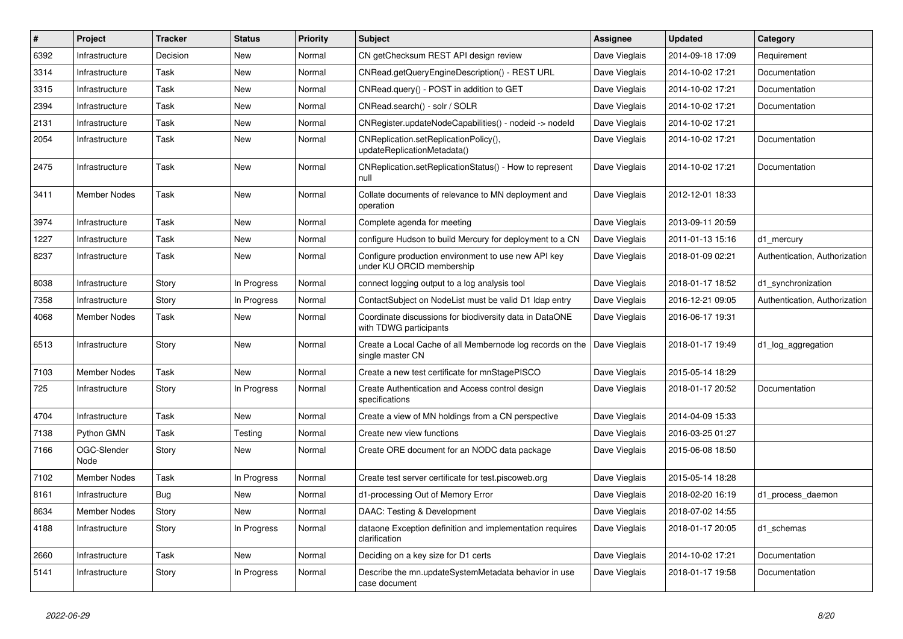| #    | Project             | <b>Tracker</b> | <b>Status</b> | <b>Priority</b> | <b>Subject</b>                                                                    | Assignee      | <b>Updated</b>   | Category                      |
|------|---------------------|----------------|---------------|-----------------|-----------------------------------------------------------------------------------|---------------|------------------|-------------------------------|
| 6392 | Infrastructure      | Decision       | New           | Normal          | CN getChecksum REST API design review                                             | Dave Vieglais | 2014-09-18 17:09 | Requirement                   |
| 3314 | Infrastructure      | Task           | New           | Normal          | CNRead.getQueryEngineDescription() - REST URL                                     | Dave Vieglais | 2014-10-02 17:21 | Documentation                 |
| 3315 | Infrastructure      | Task           | New           | Normal          | CNRead.query() - POST in addition to GET                                          | Dave Vieglais | 2014-10-02 17:21 | Documentation                 |
| 2394 | Infrastructure      | Task           | New           | Normal          | CNRead.search() - solr / SOLR                                                     | Dave Vieglais | 2014-10-02 17:21 | Documentation                 |
| 2131 | Infrastructure      | Task           | New           | Normal          | CNRegister.updateNodeCapabilities() - nodeid -> nodeld                            | Dave Vieglais | 2014-10-02 17:21 |                               |
| 2054 | Infrastructure      | Task           | New           | Normal          | CNReplication.setReplicationPolicy(),<br>updateReplicationMetadata()              | Dave Vieglais | 2014-10-02 17:21 | Documentation                 |
| 2475 | Infrastructure      | Task           | <b>New</b>    | Normal          | CNReplication.setReplicationStatus() - How to represent<br>null                   | Dave Vieglais | 2014-10-02 17:21 | Documentation                 |
| 3411 | Member Nodes        | Task           | New           | Normal          | Collate documents of relevance to MN deployment and<br>operation                  | Dave Vieglais | 2012-12-01 18:33 |                               |
| 3974 | Infrastructure      | Task           | New           | Normal          | Complete agenda for meeting                                                       | Dave Vieglais | 2013-09-11 20:59 |                               |
| 1227 | Infrastructure      | Task           | New           | Normal          | configure Hudson to build Mercury for deployment to a CN                          | Dave Vieglais | 2011-01-13 15:16 | d1_mercury                    |
| 8237 | Infrastructure      | Task           | New           | Normal          | Configure production environment to use new API key<br>under KU ORCID membership  | Dave Vieglais | 2018-01-09 02:21 | Authentication, Authorization |
| 8038 | Infrastructure      | Story          | In Progress   | Normal          | connect logging output to a log analysis tool                                     | Dave Vieglais | 2018-01-17 18:52 | d1_synchronization            |
| 7358 | Infrastructure      | Story          | In Progress   | Normal          | ContactSubject on NodeList must be valid D1 Idap entry                            | Dave Vieglais | 2016-12-21 09:05 | Authentication, Authorization |
| 4068 | Member Nodes        | Task           | New           | Normal          | Coordinate discussions for biodiversity data in DataONE<br>with TDWG participants | Dave Vieglais | 2016-06-17 19:31 |                               |
| 6513 | Infrastructure      | Story          | New           | Normal          | Create a Local Cache of all Membernode log records on the<br>single master CN     | Dave Vieglais | 2018-01-17 19:49 | d1_log_aggregation            |
| 7103 | Member Nodes        | Task           | <b>New</b>    | Normal          | Create a new test certificate for mnStagePISCO                                    | Dave Vieglais | 2015-05-14 18:29 |                               |
| 725  | Infrastructure      | Story          | In Progress   | Normal          | Create Authentication and Access control design<br>specifications                 | Dave Vieglais | 2018-01-17 20:52 | Documentation                 |
| 4704 | Infrastructure      | Task           | New           | Normal          | Create a view of MN holdings from a CN perspective                                | Dave Vieglais | 2014-04-09 15:33 |                               |
| 7138 | Python GMN          | Task           | Testing       | Normal          | Create new view functions                                                         | Dave Vieglais | 2016-03-25 01:27 |                               |
| 7166 | OGC-Slender<br>Node | Story          | New           | Normal          | Create ORE document for an NODC data package                                      | Dave Vieglais | 2015-06-08 18:50 |                               |
| 7102 | Member Nodes        | Task           | In Progress   | Normal          | Create test server certificate for test.piscoweb.org                              | Dave Vieglais | 2015-05-14 18:28 |                               |
| 8161 | Infrastructure      | Bug            | New           | Normal          | d1-processing Out of Memory Error                                                 | Dave Vieglais | 2018-02-20 16:19 | d1_process_daemon             |
| 8634 | Member Nodes        | Story          | New           | Normal          | DAAC: Testing & Development                                                       | Dave Vieglais | 2018-07-02 14:55 |                               |
| 4188 | Infrastructure      | Story          | In Progress   | Normal          | dataone Exception definition and implementation requires<br>clarification         | Dave Vieglais | 2018-01-17 20:05 | d1_schemas                    |
| 2660 | Infrastructure      | Task           | New           | Normal          | Deciding on a key size for D1 certs                                               | Dave Vieglais | 2014-10-02 17:21 | Documentation                 |
| 5141 | Infrastructure      | Story          | In Progress   | Normal          | Describe the mn.updateSystemMetadata behavior in use<br>case document             | Dave Vieglais | 2018-01-17 19:58 | Documentation                 |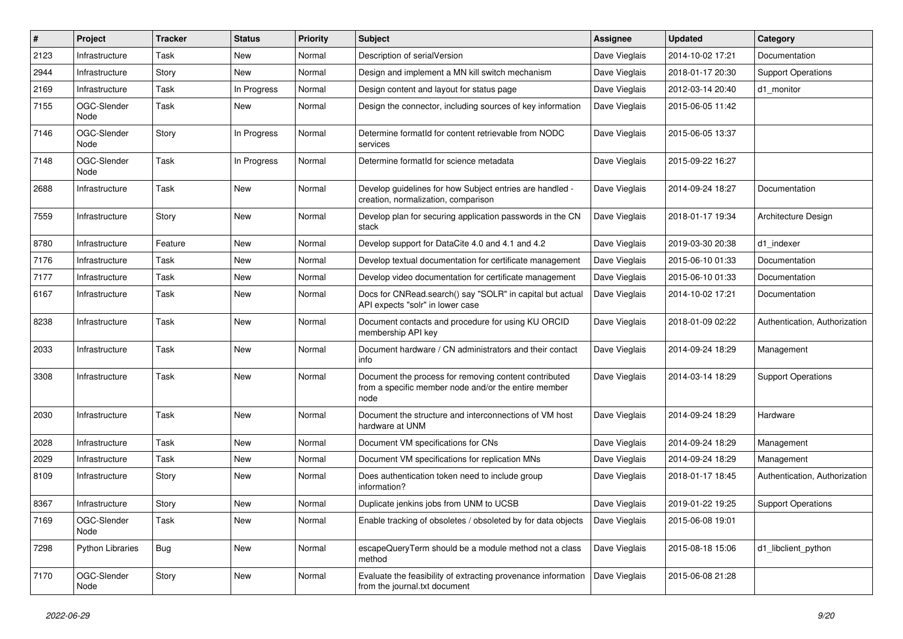| #    | Project                 | <b>Tracker</b> | <b>Status</b> | <b>Priority</b> | <b>Subject</b>                                                                                                        | Assignee      | <b>Updated</b>   | Category                      |
|------|-------------------------|----------------|---------------|-----------------|-----------------------------------------------------------------------------------------------------------------------|---------------|------------------|-------------------------------|
| 2123 | Infrastructure          | Task           | <b>New</b>    | Normal          | Description of serialVersion                                                                                          | Dave Vieglais | 2014-10-02 17:21 | Documentation                 |
| 2944 | Infrastructure          | Story          | <b>New</b>    | Normal          | Design and implement a MN kill switch mechanism                                                                       | Dave Vieglais | 2018-01-17 20:30 | <b>Support Operations</b>     |
| 2169 | Infrastructure          | Task           | In Progress   | Normal          | Design content and layout for status page                                                                             | Dave Vieglais | 2012-03-14 20:40 | d1_monitor                    |
| 7155 | OGC-Slender<br>Node     | Task           | New           | Normal          | Design the connector, including sources of key information                                                            | Dave Vieglais | 2015-06-05 11:42 |                               |
| 7146 | OGC-Slender<br>Node     | Story          | In Progress   | Normal          | Determine formatId for content retrievable from NODC<br>services                                                      | Dave Vieglais | 2015-06-05 13:37 |                               |
| 7148 | OGC-Slender<br>Node     | Task           | In Progress   | Normal          | Determine formatId for science metadata                                                                               | Dave Vieglais | 2015-09-22 16:27 |                               |
| 2688 | Infrastructure          | Task           | New           | Normal          | Develop guidelines for how Subject entries are handled -<br>creation, normalization, comparison                       | Dave Vieglais | 2014-09-24 18:27 | Documentation                 |
| 7559 | Infrastructure          | Story          | New           | Normal          | Develop plan for securing application passwords in the CN<br>stack                                                    | Dave Vieglais | 2018-01-17 19:34 | Architecture Design           |
| 8780 | Infrastructure          | Feature        | New           | Normal          | Develop support for DataCite 4.0 and 4.1 and 4.2                                                                      | Dave Vieglais | 2019-03-30 20:38 | d1_indexer                    |
| 7176 | Infrastructure          | Task           | New           | Normal          | Develop textual documentation for certificate management                                                              | Dave Vieglais | 2015-06-10 01:33 | Documentation                 |
| 7177 | Infrastructure          | Task           | New           | Normal          | Develop video documentation for certificate management                                                                | Dave Vieglais | 2015-06-10 01:33 | Documentation                 |
| 6167 | Infrastructure          | Task           | New           | Normal          | Docs for CNRead.search() say "SOLR" in capital but actual<br>API expects "solr" in lower case                         | Dave Vieglais | 2014-10-02 17:21 | Documentation                 |
| 8238 | Infrastructure          | Task           | <b>New</b>    | Normal          | Document contacts and procedure for using KU ORCID<br>membership API key                                              | Dave Vieglais | 2018-01-09 02:22 | Authentication, Authorization |
| 2033 | Infrastructure          | Task           | <b>New</b>    | Normal          | Document hardware / CN administrators and their contact<br>info                                                       | Dave Vieglais | 2014-09-24 18:29 | Management                    |
| 3308 | Infrastructure          | Task           | New           | Normal          | Document the process for removing content contributed<br>from a specific member node and/or the entire member<br>node | Dave Vieglais | 2014-03-14 18:29 | <b>Support Operations</b>     |
| 2030 | Infrastructure          | Task           | New           | Normal          | Document the structure and interconnections of VM host<br>hardware at UNM                                             | Dave Vieglais | 2014-09-24 18:29 | Hardware                      |
| 2028 | Infrastructure          | Task           | New           | Normal          | Document VM specifications for CNs                                                                                    | Dave Vieglais | 2014-09-24 18:29 | Management                    |
| 2029 | Infrastructure          | Task           | <b>New</b>    | Normal          | Document VM specifications for replication MNs                                                                        | Dave Vieglais | 2014-09-24 18:29 | Management                    |
| 8109 | Infrastructure          | Story          | New           | Normal          | Does authentication token need to include group<br>information?                                                       | Dave Vieglais | 2018-01-17 18:45 | Authentication, Authorization |
| 8367 | Infrastructure          | Story          | <b>New</b>    | Normal          | Duplicate jenkins jobs from UNM to UCSB                                                                               | Dave Vieglais | 2019-01-22 19:25 | <b>Support Operations</b>     |
| 7169 | OGC-Slender<br>Node     | Task           | New           | Normal          | Enable tracking of obsoletes / obsoleted by for data objects                                                          | Dave Vieglais | 2015-06-08 19:01 |                               |
| 7298 | <b>Python Libraries</b> | Bug            | New           | Normal          | escapeQueryTerm should be a module method not a class<br>method                                                       | Dave Vieglais | 2015-08-18 15:06 | d1_libclient_python           |
| 7170 | OGC-Slender<br>Node     | Story          | New           | Normal          | Evaluate the feasibility of extracting provenance information<br>from the journal.txt document                        | Dave Vieglais | 2015-06-08 21:28 |                               |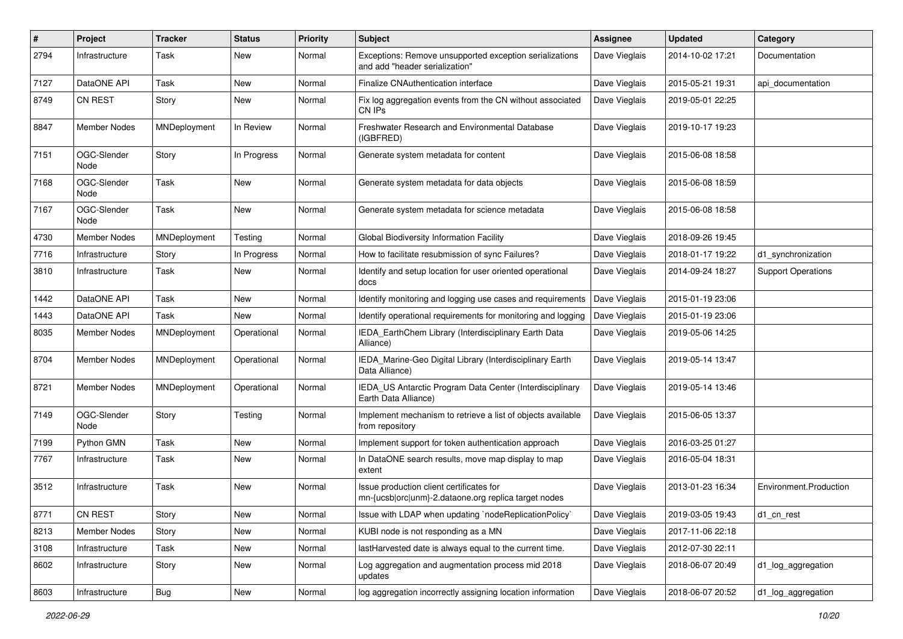| #    | Project             | <b>Tracker</b> | <b>Status</b> | <b>Priority</b> | <b>Subject</b>                                                                                   | Assignee      | <b>Updated</b>   | Category                  |
|------|---------------------|----------------|---------------|-----------------|--------------------------------------------------------------------------------------------------|---------------|------------------|---------------------------|
| 2794 | Infrastructure      | Task           | New           | Normal          | Exceptions: Remove unsupported exception serializations<br>and add "header serialization"        | Dave Vieglais | 2014-10-02 17:21 | Documentation             |
| 7127 | DataONE API         | Task           | New           | Normal          | Finalize CNAuthentication interface                                                              | Dave Vieglais | 2015-05-21 19:31 | api documentation         |
| 8749 | <b>CN REST</b>      | Story          | New           | Normal          | Fix log aggregation events from the CN without associated<br>CN IPs                              | Dave Vieglais | 2019-05-01 22:25 |                           |
| 8847 | Member Nodes        | MNDeployment   | In Review     | Normal          | Freshwater Research and Environmental Database<br>(IGBFRED)                                      | Dave Vieglais | 2019-10-17 19:23 |                           |
| 7151 | OGC-Slender<br>Node | Story          | In Progress   | Normal          | Generate system metadata for content                                                             | Dave Vieglais | 2015-06-08 18:58 |                           |
| 7168 | OGC-Slender<br>Node | Task           | <b>New</b>    | Normal          | Generate system metadata for data objects                                                        | Dave Vieglais | 2015-06-08 18:59 |                           |
| 7167 | OGC-Slender<br>Node | Task           | New           | Normal          | Generate system metadata for science metadata                                                    | Dave Vieglais | 2015-06-08 18:58 |                           |
| 4730 | <b>Member Nodes</b> | MNDeployment   | Testing       | Normal          | Global Biodiversity Information Facility                                                         | Dave Vieglais | 2018-09-26 19:45 |                           |
| 7716 | Infrastructure      | Story          | In Progress   | Normal          | How to facilitate resubmission of sync Failures?                                                 | Dave Vieglais | 2018-01-17 19:22 | d1_synchronization        |
| 3810 | Infrastructure      | Task           | New           | Normal          | Identify and setup location for user oriented operational<br>docs                                | Dave Vieglais | 2014-09-24 18:27 | <b>Support Operations</b> |
| 1442 | DataONE API         | Task           | <b>New</b>    | Normal          | Identify monitoring and logging use cases and requirements                                       | Dave Vieglais | 2015-01-19 23:06 |                           |
| 1443 | DataONE API         | Task           | New           | Normal          | Identify operational requirements for monitoring and logging                                     | Dave Vieglais | 2015-01-19 23:06 |                           |
| 8035 | Member Nodes        | MNDeployment   | Operational   | Normal          | IEDA_EarthChem Library (Interdisciplinary Earth Data<br>Alliance)                                | Dave Vieglais | 2019-05-06 14:25 |                           |
| 8704 | Member Nodes        | MNDeployment   | Operational   | Normal          | IEDA_Marine-Geo Digital Library (Interdisciplinary Earth<br>Data Alliance)                       | Dave Vieglais | 2019-05-14 13:47 |                           |
| 8721 | Member Nodes        | MNDeployment   | Operational   | Normal          | IEDA_US Antarctic Program Data Center (Interdisciplinary<br>Earth Data Alliance)                 | Dave Vieglais | 2019-05-14 13:46 |                           |
| 7149 | OGC-Slender<br>Node | Story          | Testing       | Normal          | Implement mechanism to retrieve a list of objects available<br>from repository                   | Dave Vieglais | 2015-06-05 13:37 |                           |
| 7199 | Python GMN          | Task           | New           | Normal          | Implement support for token authentication approach                                              | Dave Vieglais | 2016-03-25 01:27 |                           |
| 7767 | Infrastructure      | Task           | New           | Normal          | In DataONE search results, move map display to map<br>extent                                     | Dave Vieglais | 2016-05-04 18:31 |                           |
| 3512 | Infrastructure      | Task           | <b>New</b>    | Normal          | Issue production client certificates for<br>mn-{ucsb orc unm}-2.dataone.org replica target nodes | Dave Vieglais | 2013-01-23 16:34 | Environment.Production    |
| 8771 | <b>CN REST</b>      | Story          | New           | Normal          | Issue with LDAP when updating `nodeReplicationPolicy`                                            | Dave Vieglais | 2019-03-05 19:43 | d1_cn_rest                |
| 8213 | <b>Member Nodes</b> | Story          | New           | Normal          | KUBI node is not responding as a MN                                                              | Dave Vieglais | 2017-11-06 22:18 |                           |
| 3108 | Infrastructure      | Task           | New           | Normal          | lastHarvested date is always equal to the current time.                                          | Dave Vieglais | 2012-07-30 22:11 |                           |
| 8602 | Infrastructure      | Story          | New           | Normal          | Log aggregation and augmentation process mid 2018<br>updates                                     | Dave Vieglais | 2018-06-07 20:49 | d1_log_aggregation        |
| 8603 | Infrastructure      | <b>Bug</b>     | New           | Normal          | log aggregation incorrectly assigning location information                                       | Dave Vieglais | 2018-06-07 20:52 | d1_log_aggregation        |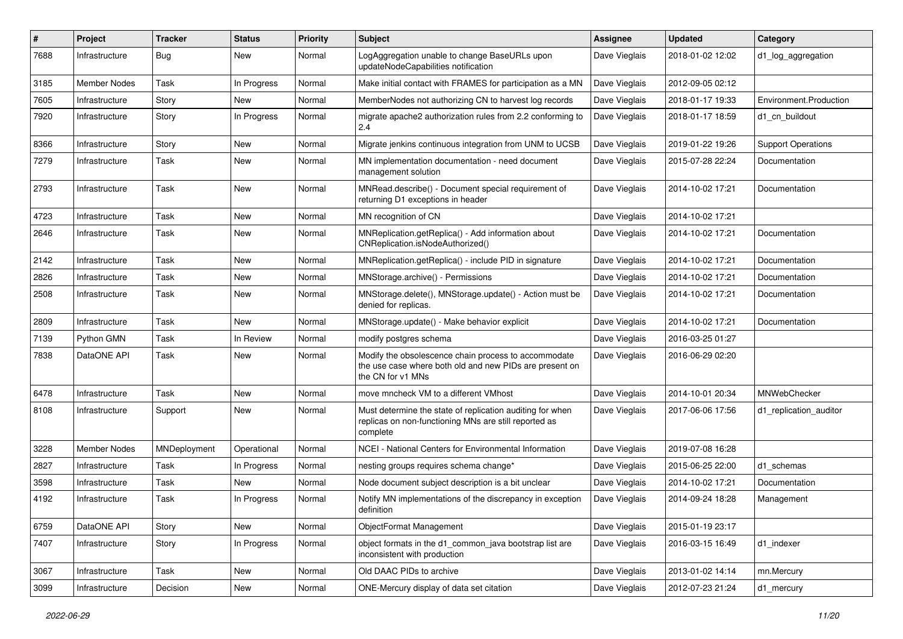| #    | Project        | <b>Tracker</b> | <b>Status</b> | <b>Priority</b> | <b>Subject</b>                                                                                                                       | <b>Assignee</b> | <b>Updated</b>   | Category                  |
|------|----------------|----------------|---------------|-----------------|--------------------------------------------------------------------------------------------------------------------------------------|-----------------|------------------|---------------------------|
| 7688 | Infrastructure | <b>Bug</b>     | New           | Normal          | LogAggregation unable to change BaseURLs upon<br>updateNodeCapabilities notification                                                 | Dave Vieglais   | 2018-01-02 12:02 | d1_log_aggregation        |
| 3185 | Member Nodes   | Task           | In Progress   | Normal          | Make initial contact with FRAMES for participation as a MN                                                                           | Dave Vieglais   | 2012-09-05 02:12 |                           |
| 7605 | Infrastructure | Story          | New           | Normal          | MemberNodes not authorizing CN to harvest log records                                                                                | Dave Vieglais   | 2018-01-17 19:33 | Environment.Production    |
| 7920 | Infrastructure | Story          | In Progress   | Normal          | migrate apache2 authorization rules from 2.2 conforming to<br>2.4                                                                    | Dave Vieglais   | 2018-01-17 18:59 | d1 cn buildout            |
| 8366 | Infrastructure | Story          | New           | Normal          | Migrate jenkins continuous integration from UNM to UCSB                                                                              | Dave Vieglais   | 2019-01-22 19:26 | <b>Support Operations</b> |
| 7279 | Infrastructure | Task           | New           | Normal          | MN implementation documentation - need document<br>management solution                                                               | Dave Vieglais   | 2015-07-28 22:24 | Documentation             |
| 2793 | Infrastructure | Task           | New           | Normal          | MNRead.describe() - Document special requirement of<br>returning D1 exceptions in header                                             | Dave Vieglais   | 2014-10-02 17:21 | Documentation             |
| 4723 | Infrastructure | Task           | New           | Normal          | MN recognition of CN                                                                                                                 | Dave Vieglais   | 2014-10-02 17:21 |                           |
| 2646 | Infrastructure | Task           | New           | Normal          | MNReplication.getReplica() - Add information about<br>CNReplication.isNodeAuthorized()                                               | Dave Vieglais   | 2014-10-02 17:21 | Documentation             |
| 2142 | Infrastructure | Task           | New           | Normal          | MNReplication.getReplica() - include PID in signature                                                                                | Dave Vieglais   | 2014-10-02 17:21 | Documentation             |
| 2826 | Infrastructure | Task           | New           | Normal          | MNStorage.archive() - Permissions                                                                                                    | Dave Vieglais   | 2014-10-02 17:21 | Documentation             |
| 2508 | Infrastructure | Task           | New           | Normal          | MNStorage.delete(), MNStorage.update() - Action must be<br>denied for replicas.                                                      | Dave Vieglais   | 2014-10-02 17:21 | Documentation             |
| 2809 | Infrastructure | Task           | New           | Normal          | MNStorage.update() - Make behavior explicit                                                                                          | Dave Vieglais   | 2014-10-02 17:21 | Documentation             |
| 7139 | Python GMN     | Task           | In Review     | Normal          | modify postgres schema                                                                                                               | Dave Vieglais   | 2016-03-25 01:27 |                           |
| 7838 | DataONE API    | Task           | New           | Normal          | Modify the obsolescence chain process to accommodate<br>the use case where both old and new PIDs are present on<br>the CN for v1 MNs | Dave Vieglais   | 2016-06-29 02:20 |                           |
| 6478 | Infrastructure | Task           | <b>New</b>    | Normal          | move mncheck VM to a different VMhost                                                                                                | Dave Vieglais   | 2014-10-01 20:34 | MNWebChecker              |
| 8108 | Infrastructure | Support        | New           | Normal          | Must determine the state of replication auditing for when<br>replicas on non-functioning MNs are still reported as<br>complete       | Dave Vieglais   | 2017-06-06 17:56 | d1 replication auditor    |
| 3228 | Member Nodes   | MNDeployment   | Operational   | Normal          | NCEI - National Centers for Environmental Information                                                                                | Dave Vieglais   | 2019-07-08 16:28 |                           |
| 2827 | Infrastructure | Task           | In Progress   | Normal          | nesting groups requires schema change*                                                                                               | Dave Vieglais   | 2015-06-25 22:00 | d1 schemas                |
| 3598 | Infrastructure | Task           | New           | Normal          | Node document subject description is a bit unclear                                                                                   | Dave Vieglais   | 2014-10-02 17:21 | Documentation             |
| 4192 | Infrastructure | Task           | In Progress   | Normal          | Notify MN implementations of the discrepancy in exception<br>definition                                                              | Dave Vieglais   | 2014-09-24 18:28 | Management                |
| 6759 | DataONE API    | Story          | New           | Normal          | <b>ObjectFormat Management</b>                                                                                                       | Dave Vieglais   | 2015-01-19 23:17 |                           |
| 7407 | Infrastructure | Story          | In Progress   | Normal          | object formats in the d1_common_java bootstrap list are<br>inconsistent with production                                              | Dave Vieglais   | 2016-03-15 16:49 | d1_indexer                |
| 3067 | Infrastructure | Task           | New           | Normal          | Old DAAC PIDs to archive                                                                                                             | Dave Vieglais   | 2013-01-02 14:14 | mn.Mercury                |
| 3099 | Infrastructure | Decision       | New           | Normal          | ONE-Mercury display of data set citation                                                                                             | Dave Vieglais   | 2012-07-23 21:24 | d1_mercury                |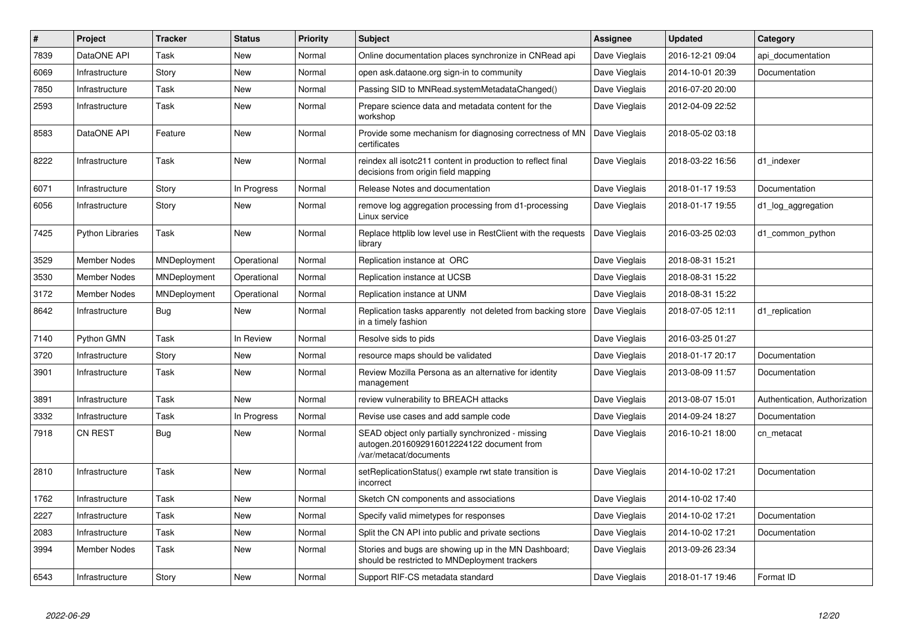| $\#$ | Project                 | <b>Tracker</b>      | <b>Status</b> | <b>Priority</b> | <b>Subject</b>                                                                                                           | Assignee      | <b>Updated</b>   | Category                      |
|------|-------------------------|---------------------|---------------|-----------------|--------------------------------------------------------------------------------------------------------------------------|---------------|------------------|-------------------------------|
| 7839 | DataONE API             | Task                | <b>New</b>    | Normal          | Online documentation places synchronize in CNRead api                                                                    | Dave Vieglais | 2016-12-21 09:04 | api documentation             |
| 6069 | Infrastructure          | Story               | <b>New</b>    | Normal          | open ask.dataone.org sign-in to community                                                                                | Dave Vieglais | 2014-10-01 20:39 | Documentation                 |
| 7850 | Infrastructure          | Task                | <b>New</b>    | Normal          | Passing SID to MNRead.systemMetadataChanged()                                                                            | Dave Vieglais | 2016-07-20 20:00 |                               |
| 2593 | Infrastructure          | Task                | <b>New</b>    | Normal          | Prepare science data and metadata content for the<br>workshop                                                            | Dave Vieglais | 2012-04-09 22:52 |                               |
| 8583 | DataONE API             | Feature             | New           | Normal          | Provide some mechanism for diagnosing correctness of MN<br>certificates                                                  | Dave Vieglais | 2018-05-02 03:18 |                               |
| 8222 | Infrastructure          | Task                | New           | Normal          | reindex all isotc211 content in production to reflect final<br>decisions from origin field mapping                       | Dave Vieglais | 2018-03-22 16:56 | d1 indexer                    |
| 6071 | Infrastructure          | Story               | In Progress   | Normal          | Release Notes and documentation                                                                                          | Dave Vieglais | 2018-01-17 19:53 | Documentation                 |
| 6056 | Infrastructure          | Story               | New           | Normal          | remove log aggregation processing from d1-processing<br>Linux service                                                    | Dave Vieglais | 2018-01-17 19:55 | d1_log_aggregation            |
| 7425 | <b>Python Libraries</b> | Task                | <b>New</b>    | Normal          | Replace httplib low level use in RestClient with the requests<br>library                                                 | Dave Vieglais | 2016-03-25 02:03 | d1 common python              |
| 3529 | <b>Member Nodes</b>     | MNDeployment        | Operational   | Normal          | Replication instance at ORC                                                                                              | Dave Vieglais | 2018-08-31 15:21 |                               |
| 3530 | <b>Member Nodes</b>     | MNDeployment        | Operational   | Normal          | Replication instance at UCSB                                                                                             | Dave Vieglais | 2018-08-31 15:22 |                               |
| 3172 | <b>Member Nodes</b>     | <b>MNDeployment</b> | Operational   | Normal          | Replication instance at UNM                                                                                              | Dave Vieglais | 2018-08-31 15:22 |                               |
| 8642 | Infrastructure          | Bug                 | <b>New</b>    | Normal          | Replication tasks apparently not deleted from backing store<br>in a timely fashion                                       | Dave Vieglais | 2018-07-05 12:11 | d1_replication                |
| 7140 | Python GMN              | Task                | In Review     | Normal          | Resolve sids to pids                                                                                                     | Dave Vieglais | 2016-03-25 01:27 |                               |
| 3720 | Infrastructure          | Story               | <b>New</b>    | Normal          | resource maps should be validated                                                                                        | Dave Vieglais | 2018-01-17 20:17 | Documentation                 |
| 3901 | Infrastructure          | Task                | New           | Normal          | Review Mozilla Persona as an alternative for identity<br>management                                                      | Dave Vieglais | 2013-08-09 11:57 | Documentation                 |
| 3891 | Infrastructure          | Task                | <b>New</b>    | Normal          | review vulnerability to BREACH attacks                                                                                   | Dave Vieglais | 2013-08-07 15:01 | Authentication, Authorization |
| 3332 | Infrastructure          | Task                | In Progress   | Normal          | Revise use cases and add sample code                                                                                     | Dave Vieglais | 2014-09-24 18:27 | Documentation                 |
| 7918 | <b>CN REST</b>          | Bug                 | New           | Normal          | SEAD object only partially synchronized - missing<br>autogen.2016092916012224122 document from<br>/var/metacat/documents | Dave Vieglais | 2016-10-21 18:00 | cn metacat                    |
| 2810 | Infrastructure          | Task                | <b>New</b>    | Normal          | setReplicationStatus() example rwt state transition is<br>incorrect                                                      | Dave Vieglais | 2014-10-02 17:21 | Documentation                 |
| 1762 | Infrastructure          | Task                | New           | Normal          | Sketch CN components and associations                                                                                    | Dave Vieglais | 2014-10-02 17:40 |                               |
| 2227 | Infrastructure          | Task                | New           | Normal          | Specify valid mimetypes for responses                                                                                    | Dave Vieglais | 2014-10-02 17:21 | Documentation                 |
| 2083 | Infrastructure          | Task                | <b>New</b>    | Normal          | Split the CN API into public and private sections                                                                        | Dave Vieglais | 2014-10-02 17:21 | Documentation                 |
| 3994 | Member Nodes            | Task                | <b>New</b>    | Normal          | Stories and bugs are showing up in the MN Dashboard;<br>should be restricted to MNDeployment trackers                    | Dave Vieglais | 2013-09-26 23:34 |                               |
| 6543 | Infrastructure          | Story               | New           | Normal          | Support RIF-CS metadata standard                                                                                         | Dave Vieglais | 2018-01-17 19:46 | Format ID                     |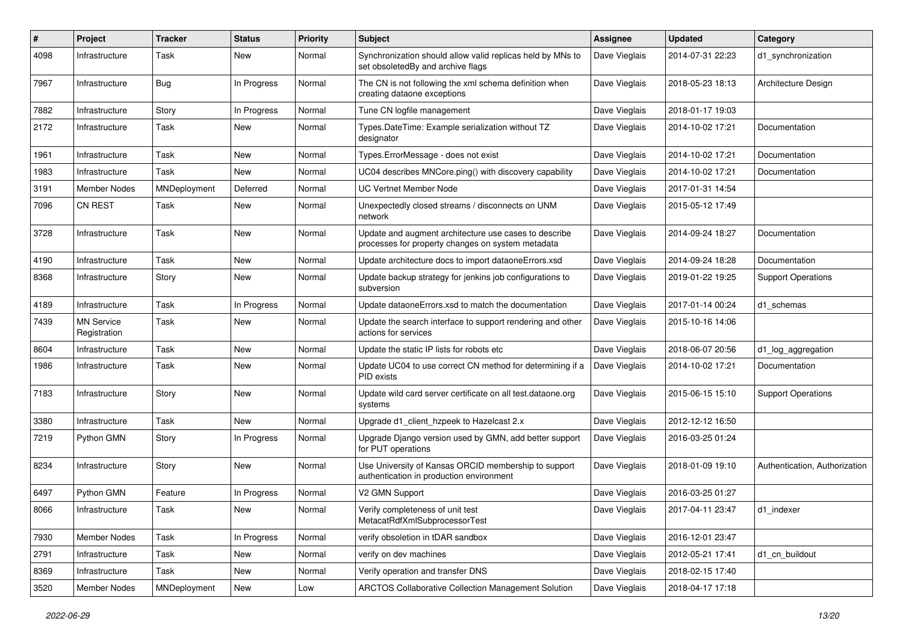| #    | Project                           | <b>Tracker</b> | <b>Status</b> | <b>Priority</b> | <b>Subject</b>                                                                                             | <b>Assignee</b> | <b>Updated</b>   | Category                      |
|------|-----------------------------------|----------------|---------------|-----------------|------------------------------------------------------------------------------------------------------------|-----------------|------------------|-------------------------------|
| 4098 | Infrastructure                    | Task           | New           | Normal          | Synchronization should allow valid replicas held by MNs to<br>set obsoletedBy and archive flags            | Dave Vieglais   | 2014-07-31 22:23 | d1 synchronization            |
| 7967 | Infrastructure                    | Bug            | In Progress   | Normal          | The CN is not following the xml schema definition when<br>creating dataone exceptions                      | Dave Vieglais   | 2018-05-23 18:13 | Architecture Design           |
| 7882 | Infrastructure                    | Story          | In Progress   | Normal          | Tune CN logfile management                                                                                 | Dave Vieglais   | 2018-01-17 19:03 |                               |
| 2172 | Infrastructure                    | Task           | New           | Normal          | Types.DateTime: Example serialization without TZ<br>designator                                             | Dave Vieglais   | 2014-10-02 17:21 | Documentation                 |
| 1961 | Infrastructure                    | Task           | New           | Normal          | Types.ErrorMessage - does not exist                                                                        | Dave Vieglais   | 2014-10-02 17:21 | Documentation                 |
| 1983 | Infrastructure                    | Task           | New           | Normal          | UC04 describes MNCore.ping() with discovery capability                                                     | Dave Vieglais   | 2014-10-02 17:21 | Documentation                 |
| 3191 | Member Nodes                      | MNDeployment   | Deferred      | Normal          | <b>UC Vertnet Member Node</b>                                                                              | Dave Vieglais   | 2017-01-31 14:54 |                               |
| 7096 | CN REST                           | Task           | New           | Normal          | Unexpectedly closed streams / disconnects on UNM<br>network                                                | Dave Vieglais   | 2015-05-12 17:49 |                               |
| 3728 | Infrastructure                    | Task           | New           | Normal          | Update and augment architecture use cases to describe<br>processes for property changes on system metadata | Dave Vieglais   | 2014-09-24 18:27 | Documentation                 |
| 4190 | Infrastructure                    | Task           | New           | Normal          | Update architecture docs to import dataoneErrors.xsd                                                       | Dave Vieglais   | 2014-09-24 18:28 | Documentation                 |
| 8368 | Infrastructure                    | Story          | New           | Normal          | Update backup strategy for jenkins job configurations to<br>subversion                                     | Dave Vieglais   | 2019-01-22 19:25 | <b>Support Operations</b>     |
| 4189 | Infrastructure                    | Task           | In Progress   | Normal          | Update dataoneErrors.xsd to match the documentation                                                        | Dave Vieglais   | 2017-01-14 00:24 | d1 schemas                    |
| 7439 | <b>MN Service</b><br>Registration | Task           | New           | Normal          | Update the search interface to support rendering and other<br>actions for services                         | Dave Vieglais   | 2015-10-16 14:06 |                               |
| 8604 | Infrastructure                    | Task           | New           | Normal          | Update the static IP lists for robots etc                                                                  | Dave Vieglais   | 2018-06-07 20:56 | d1_log_aggregation            |
| 1986 | Infrastructure                    | Task           | New           | Normal          | Update UC04 to use correct CN method for determining if a<br>PID exists                                    | Dave Vieglais   | 2014-10-02 17:21 | Documentation                 |
| 7183 | Infrastructure                    | Story          | <b>New</b>    | Normal          | Update wild card server certificate on all test.dataone.org<br>systems                                     | Dave Vieglais   | 2015-06-15 15:10 | <b>Support Operations</b>     |
| 3380 | Infrastructure                    | Task           | New           | Normal          | Upgrade d1_client_hzpeek to Hazelcast 2.x                                                                  | Dave Vieglais   | 2012-12-12 16:50 |                               |
| 7219 | Python GMN                        | Story          | In Progress   | Normal          | Upgrade Django version used by GMN, add better support<br>for PUT operations                               | Dave Vieglais   | 2016-03-25 01:24 |                               |
| 8234 | Infrastructure                    | Story          | New           | Normal          | Use University of Kansas ORCID membership to support<br>authentication in production environment           | Dave Vieglais   | 2018-01-09 19:10 | Authentication, Authorization |
| 6497 | Python GMN                        | Feature        | In Progress   | Normal          | V2 GMN Support                                                                                             | Dave Vieglais   | 2016-03-25 01:27 |                               |
| 8066 | Infrastructure                    | Task           | New           | Normal          | Verify completeness of unit test<br>MetacatRdfXmlSubprocessorTest                                          | Dave Vieglais   | 2017-04-11 23:47 | d1_indexer                    |
| 7930 | Member Nodes                      | Task           | In Progress   | Normal          | verify obsoletion in tDAR sandbox                                                                          | Dave Vieglais   | 2016-12-01 23:47 |                               |
| 2791 | Infrastructure                    | Task           | New           | Normal          | verify on dev machines                                                                                     | Dave Vieglais   | 2012-05-21 17:41 | d1_cn_buildout                |
| 8369 | Infrastructure                    | Task           | New           | Normal          | Verify operation and transfer DNS                                                                          | Dave Vieglais   | 2018-02-15 17:40 |                               |
| 3520 | Member Nodes                      | MNDeployment   | New           | Low             | ARCTOS Collaborative Collection Management Solution                                                        | Dave Vieglais   | 2018-04-17 17:18 |                               |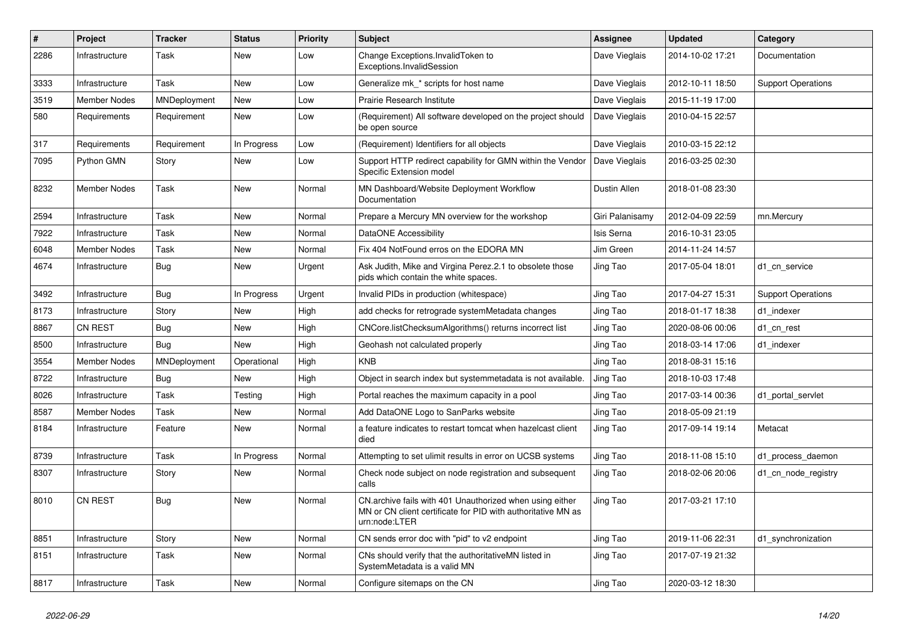| #    | Project             | <b>Tracker</b> | <b>Status</b> | <b>Priority</b> | <b>Subject</b>                                                                                                                            | Assignee        | <b>Updated</b>   | Category                  |
|------|---------------------|----------------|---------------|-----------------|-------------------------------------------------------------------------------------------------------------------------------------------|-----------------|------------------|---------------------------|
| 2286 | Infrastructure      | Task           | <b>New</b>    | Low             | Change Exceptions. Invalid Token to<br>Exceptions.InvalidSession                                                                          | Dave Vieglais   | 2014-10-02 17:21 | Documentation             |
| 3333 | Infrastructure      | Task           | <b>New</b>    | Low             | Generalize mk_* scripts for host name                                                                                                     | Dave Vieglais   | 2012-10-11 18:50 | <b>Support Operations</b> |
| 3519 | <b>Member Nodes</b> | MNDeployment   | <b>New</b>    | Low             | Prairie Research Institute                                                                                                                | Dave Vieglais   | 2015-11-19 17:00 |                           |
| 580  | Requirements        | Requirement    | <b>New</b>    | Low             | (Requirement) All software developed on the project should<br>be open source                                                              | Dave Vieglais   | 2010-04-15 22:57 |                           |
| 317  | Requirements        | Requirement    | In Progress   | Low             | (Requirement) Identifiers for all objects                                                                                                 | Dave Vieglais   | 2010-03-15 22:12 |                           |
| 7095 | Python GMN          | Story          | <b>New</b>    | Low             | Support HTTP redirect capability for GMN within the Vendor<br>Specific Extension model                                                    | Dave Vieglais   | 2016-03-25 02:30 |                           |
| 8232 | <b>Member Nodes</b> | Task           | <b>New</b>    | Normal          | MN Dashboard/Website Deployment Workflow<br>Documentation                                                                                 | Dustin Allen    | 2018-01-08 23:30 |                           |
| 2594 | Infrastructure      | Task           | <b>New</b>    | Normal          | Prepare a Mercury MN overview for the workshop                                                                                            | Giri Palanisamy | 2012-04-09 22:59 | mn.Mercury                |
| 7922 | Infrastructure      | Task           | <b>New</b>    | Normal          | DataONE Accessibility                                                                                                                     | Isis Serna      | 2016-10-31 23:05 |                           |
| 6048 | <b>Member Nodes</b> | Task           | <b>New</b>    | Normal          | Fix 404 NotFound erros on the EDORA MN                                                                                                    | Jim Green       | 2014-11-24 14:57 |                           |
| 4674 | Infrastructure      | <b>Bug</b>     | <b>New</b>    | Urgent          | Ask Judith, Mike and Virgina Perez.2.1 to obsolete those<br>pids which contain the white spaces.                                          | Jing Tao        | 2017-05-04 18:01 | d1_cn_service             |
| 3492 | Infrastructure      | Bug            | In Progress   | Urgent          | Invalid PIDs in production (whitespace)                                                                                                   | Jing Tao        | 2017-04-27 15:31 | <b>Support Operations</b> |
| 8173 | Infrastructure      | Story          | <b>New</b>    | High            | add checks for retrograde systemMetadata changes                                                                                          | Jing Tao        | 2018-01-17 18:38 | d1 indexer                |
| 8867 | <b>CN REST</b>      | <b>Bug</b>     | <b>New</b>    | High            | CNCore.listChecksumAlgorithms() returns incorrect list                                                                                    | Jing Tao        | 2020-08-06 00:06 | d1_cn_rest                |
| 8500 | Infrastructure      | Bug            | <b>New</b>    | High            | Geohash not calculated properly                                                                                                           | Jing Tao        | 2018-03-14 17:06 | d1 indexer                |
| 3554 | <b>Member Nodes</b> | MNDeployment   | Operational   | High            | <b>KNB</b>                                                                                                                                | Jing Tao        | 2018-08-31 15:16 |                           |
| 8722 | Infrastructure      | Bug            | New           | High            | Object in search index but systemmetadata is not available.                                                                               | Jing Tao        | 2018-10-03 17:48 |                           |
| 8026 | Infrastructure      | Task           | Testing       | High            | Portal reaches the maximum capacity in a pool                                                                                             | Jing Tao        | 2017-03-14 00:36 | d1 portal servlet         |
| 8587 | <b>Member Nodes</b> | Task           | <b>New</b>    | Normal          | Add DataONE Logo to SanParks website                                                                                                      | Jing Tao        | 2018-05-09 21:19 |                           |
| 8184 | Infrastructure      | Feature        | <b>New</b>    | Normal          | a feature indicates to restart tomcat when hazelcast client<br>died                                                                       | Jing Tao        | 2017-09-14 19:14 | Metacat                   |
| 8739 | Infrastructure      | Task           | In Progress   | Normal          | Attempting to set ulimit results in error on UCSB systems                                                                                 | Jing Tao        | 2018-11-08 15:10 | d1_process_daemon         |
| 8307 | Infrastructure      | Story          | <b>New</b>    | Normal          | Check node subject on node registration and subsequent<br>calls                                                                           | Jing Tao        | 2018-02-06 20:06 | d1 cn node registry       |
| 8010 | <b>CN REST</b>      | <b>Bug</b>     | <b>New</b>    | Normal          | CN archive fails with 401 Unauthorized when using either<br>MN or CN client certificate for PID with authoritative MN as<br>urn:node:LTER | Jing Tao        | 2017-03-21 17:10 |                           |
| 8851 | Infrastructure      | Story          | <b>New</b>    | Normal          | CN sends error doc with "pid" to v2 endpoint                                                                                              | Jing Tao        | 2019-11-06 22:31 | d1 synchronization        |
| 8151 | Infrastructure      | Task           | <b>New</b>    | Normal          | CNs should verify that the authoritative MN listed in<br>SystemMetadata is a valid MN                                                     | Jing Tao        | 2017-07-19 21:32 |                           |
| 8817 | Infrastructure      | Task           | <b>New</b>    | Normal          | Configure sitemaps on the CN                                                                                                              | Jing Tao        | 2020-03-12 18:30 |                           |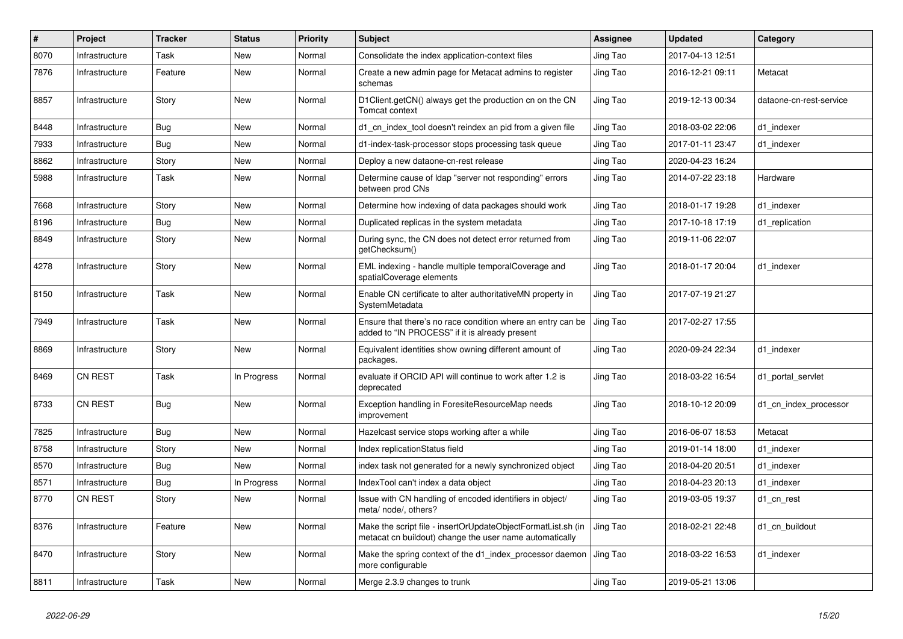| $\#$ | Project        | <b>Tracker</b> | <b>Status</b> | <b>Priority</b> | <b>Subject</b>                                                                                                          | Assignee | <b>Updated</b>   | Category                |
|------|----------------|----------------|---------------|-----------------|-------------------------------------------------------------------------------------------------------------------------|----------|------------------|-------------------------|
| 8070 | Infrastructure | Task           | <b>New</b>    | Normal          | Consolidate the index application-context files                                                                         | Jing Tao | 2017-04-13 12:51 |                         |
| 7876 | Infrastructure | Feature        | New           | Normal          | Create a new admin page for Metacat admins to register<br>schemas                                                       | Jing Tao | 2016-12-21 09:11 | Metacat                 |
| 8857 | Infrastructure | Story          | New           | Normal          | D1Client.getCN() always get the production cn on the CN<br>Tomcat context                                               | Jing Tao | 2019-12-13 00:34 | dataone-cn-rest-service |
| 8448 | Infrastructure | Bug            | <b>New</b>    | Normal          | d1_cn_index_tool doesn't reindex an pid from a given file                                                               | Jing Tao | 2018-03-02 22:06 | d1 indexer              |
| 7933 | Infrastructure | Bug            | New           | Normal          | d1-index-task-processor stops processing task queue                                                                     | Jing Tao | 2017-01-11 23:47 | d1 indexer              |
| 8862 | Infrastructure | Story          | New           | Normal          | Deploy a new dataone-cn-rest release                                                                                    | Jing Tao | 2020-04-23 16:24 |                         |
| 5988 | Infrastructure | Task           | New           | Normal          | Determine cause of Idap "server not responding" errors<br>between prod CNs                                              | Jing Tao | 2014-07-22 23:18 | Hardware                |
| 7668 | Infrastructure | Story          | New           | Normal          | Determine how indexing of data packages should work                                                                     | Jing Tao | 2018-01-17 19:28 | d1_indexer              |
| 8196 | Infrastructure | Bug            | <b>New</b>    | Normal          | Duplicated replicas in the system metadata                                                                              | Jing Tao | 2017-10-18 17:19 | d1_replication          |
| 8849 | Infrastructure | Story          | New           | Normal          | During sync, the CN does not detect error returned from<br>getChecksum()                                                | Jing Tao | 2019-11-06 22:07 |                         |
| 4278 | Infrastructure | Story          | <b>New</b>    | Normal          | EML indexing - handle multiple temporalCoverage and<br>spatialCoverage elements                                         | Jing Tao | 2018-01-17 20:04 | d1 indexer              |
| 8150 | Infrastructure | Task           | New           | Normal          | Enable CN certificate to alter authoritativeMN property in<br>SystemMetadata                                            | Jing Tao | 2017-07-19 21:27 |                         |
| 7949 | Infrastructure | Task           | <b>New</b>    | Normal          | Ensure that there's no race condition where an entry can be<br>added to "IN PROCESS" if it is already present           | Jing Tao | 2017-02-27 17:55 |                         |
| 8869 | Infrastructure | Story          | <b>New</b>    | Normal          | Equivalent identities show owning different amount of<br>packages.                                                      | Jing Tao | 2020-09-24 22:34 | d1 indexer              |
| 8469 | CN REST        | Task           | In Progress   | Normal          | evaluate if ORCID API will continue to work after 1.2 is<br>deprecated                                                  | Jing Tao | 2018-03-22 16:54 | d1 portal servlet       |
| 8733 | <b>CN REST</b> | <b>Bug</b>     | <b>New</b>    | Normal          | Exception handling in ForesiteResourceMap needs<br>improvement                                                          | Jing Tao | 2018-10-12 20:09 | d1 cn index processor   |
| 7825 | Infrastructure | Bug            | New           | Normal          | Hazelcast service stops working after a while                                                                           | Jing Tao | 2016-06-07 18:53 | Metacat                 |
| 8758 | Infrastructure | Story          | <b>New</b>    | Normal          | Index replicationStatus field                                                                                           | Jing Tao | 2019-01-14 18:00 | d1 indexer              |
| 8570 | Infrastructure | Bug            | New           | Normal          | index task not generated for a newly synchronized object                                                                | Jing Tao | 2018-04-20 20:51 | d1 indexer              |
| 8571 | Infrastructure | <b>Bug</b>     | In Progress   | Normal          | IndexTool can't index a data object                                                                                     | Jing Tao | 2018-04-23 20:13 | d1 indexer              |
| 8770 | <b>CN REST</b> | Story          | <b>New</b>    | Normal          | Issue with CN handling of encoded identifiers in object/<br>meta/ node/, others?                                        | Jing Tao | 2019-03-05 19:37 | d1_cn_rest              |
| 8376 | Infrastructure | Feature        | <b>New</b>    | Normal          | Make the script file - insertOrUpdateObjectFormatList.sh (in<br>metacat cn buildout) change the user name automatically | Jing Tao | 2018-02-21 22:48 | d1 cn buildout          |
| 8470 | Infrastructure | Story          | New           | Normal          | Make the spring context of the d1_index_processor daemon<br>more configurable                                           | Jing Tao | 2018-03-22 16:53 | d1 indexer              |
| 8811 | Infrastructure | Task           | New           | Normal          | Merge 2.3.9 changes to trunk                                                                                            | Jing Tao | 2019-05-21 13:06 |                         |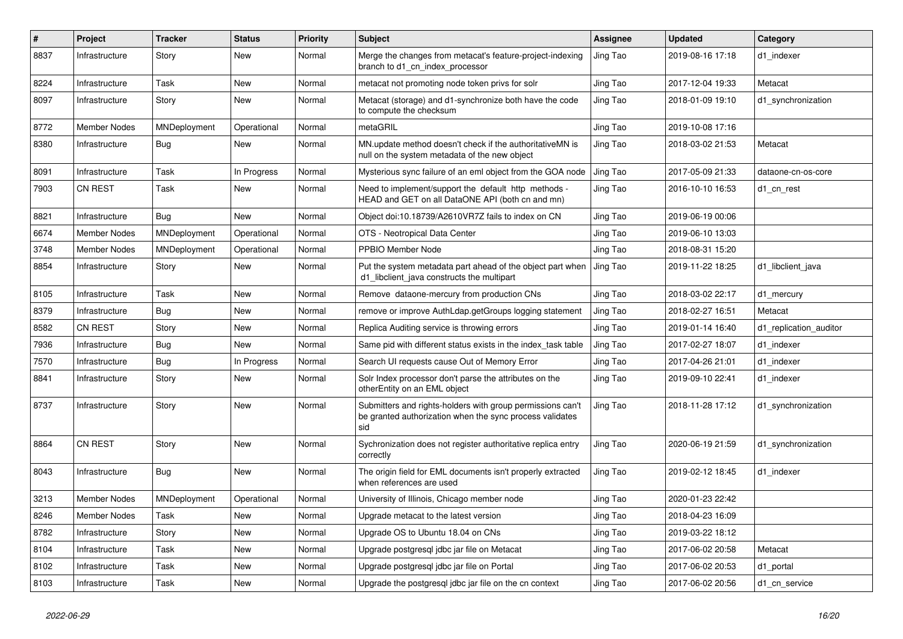| #    | Project             | <b>Tracker</b> | <b>Status</b> | <b>Priority</b> | <b>Subject</b>                                                                                                                | Assignee | <b>Updated</b>   | Category               |
|------|---------------------|----------------|---------------|-----------------|-------------------------------------------------------------------------------------------------------------------------------|----------|------------------|------------------------|
| 8837 | Infrastructure      | Story          | New           | Normal          | Merge the changes from metacat's feature-project-indexing<br>branch to d1 cn index processor                                  | Jing Tao | 2019-08-16 17:18 | d1 indexer             |
| 8224 | Infrastructure      | Task           | <b>New</b>    | Normal          | metacat not promoting node token privs for solr                                                                               | Jing Tao | 2017-12-04 19:33 | Metacat                |
| 8097 | Infrastructure      | Story          | New           | Normal          | Metacat (storage) and d1-synchronize both have the code<br>to compute the checksum                                            | Jing Tao | 2018-01-09 19:10 | d1 synchronization     |
| 8772 | <b>Member Nodes</b> | MNDeployment   | Operational   | Normal          | metaGRIL                                                                                                                      | Jing Tao | 2019-10-08 17:16 |                        |
| 8380 | Infrastructure      | Bug            | New           | Normal          | MN.update method doesn't check if the authoritativeMN is<br>null on the system metadata of the new object                     | Jing Tao | 2018-03-02 21:53 | Metacat                |
| 8091 | Infrastructure      | Task           | In Progress   | Normal          | Mysterious sync failure of an eml object from the GOA node                                                                    | Jing Tao | 2017-05-09 21:33 | dataone-cn-os-core     |
| 7903 | CN REST             | Task           | New           | Normal          | Need to implement/support the default http methods -<br>HEAD and GET on all DataONE API (both cn and mn)                      | Jing Tao | 2016-10-10 16:53 | d1_cn_rest             |
| 8821 | Infrastructure      | Bug            | <b>New</b>    | Normal          | Object doi:10.18739/A2610VR7Z fails to index on CN                                                                            | Jing Tao | 2019-06-19 00:06 |                        |
| 6674 | <b>Member Nodes</b> | MNDeployment   | Operational   | Normal          | OTS - Neotropical Data Center                                                                                                 | Jing Tao | 2019-06-10 13:03 |                        |
| 3748 | <b>Member Nodes</b> | MNDeployment   | Operational   | Normal          | PPBIO Member Node                                                                                                             | Jing Tao | 2018-08-31 15:20 |                        |
| 8854 | Infrastructure      | Story          | <b>New</b>    | Normal          | Put the system metadata part ahead of the object part when<br>d1 libclient java constructs the multipart                      | Jing Tao | 2019-11-22 18:25 | d1 libclient java      |
| 8105 | Infrastructure      | Task           | New           | Normal          | Remove dataone-mercury from production CNs                                                                                    | Jing Tao | 2018-03-02 22:17 | d1 mercury             |
| 8379 | Infrastructure      | <b>Bug</b>     | New           | Normal          | remove or improve AuthLdap.getGroups logging statement                                                                        | Jing Tao | 2018-02-27 16:51 | Metacat                |
| 8582 | <b>CN REST</b>      | Story          | New           | Normal          | Replica Auditing service is throwing errors                                                                                   | Jing Tao | 2019-01-14 16:40 | d1_replication_auditor |
| 7936 | Infrastructure      | Bug            | New           | Normal          | Same pid with different status exists in the index_task table                                                                 | Jing Tao | 2017-02-27 18:07 | d1_indexer             |
| 7570 | Infrastructure      | Bug            | In Progress   | Normal          | Search UI requests cause Out of Memory Error                                                                                  | Jing Tao | 2017-04-26 21:01 | d1 indexer             |
| 8841 | Infrastructure      | Story          | New           | Normal          | Solr Index processor don't parse the attributes on the<br>otherEntity on an EML object                                        | Jing Tao | 2019-09-10 22:41 | d1 indexer             |
| 8737 | Infrastructure      | Story          | <b>New</b>    | Normal          | Submitters and rights-holders with group permissions can't<br>be granted authorization when the sync process validates<br>sid | Jing Tao | 2018-11-28 17:12 | d1 synchronization     |
| 8864 | CN REST             | Story          | New           | Normal          | Sychronization does not register authoritative replica entry<br>correctly                                                     | Jing Tao | 2020-06-19 21:59 | d1 synchronization     |
| 8043 | Infrastructure      | Bug            | <b>New</b>    | Normal          | The origin field for EML documents isn't properly extracted<br>when references are used                                       | Jing Tao | 2019-02-12 18:45 | d1_indexer             |
| 3213 | <b>Member Nodes</b> | MNDeployment   | Operational   | Normal          | University of Illinois, Chicago member node                                                                                   | Jing Tao | 2020-01-23 22:42 |                        |
| 8246 | <b>Member Nodes</b> | Task           | New           | Normal          | Upgrade metacat to the latest version                                                                                         | Jing Tao | 2018-04-23 16:09 |                        |
| 8782 | Infrastructure      | Story          | <b>New</b>    | Normal          | Upgrade OS to Ubuntu 18.04 on CNs                                                                                             | Jing Tao | 2019-03-22 18:12 |                        |
| 8104 | Infrastructure      | Task           | New           | Normal          | Upgrade postgresql jdbc jar file on Metacat                                                                                   | Jing Tao | 2017-06-02 20:58 | Metacat                |
| 8102 | Infrastructure      | Task           | <b>New</b>    | Normal          | Upgrade postgresgl jdbc jar file on Portal                                                                                    | Jing Tao | 2017-06-02 20:53 | d1 portal              |
| 8103 | Infrastructure      | Task           | New           | Normal          | Upgrade the postgresql jdbc jar file on the cn context                                                                        | Jing Tao | 2017-06-02 20:56 | d1 cn service          |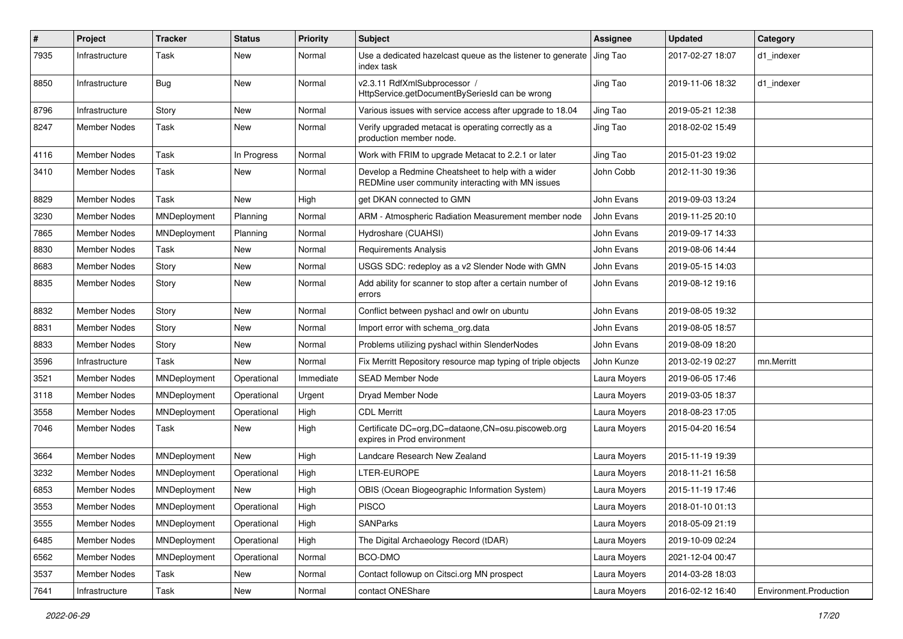| $\vert$ # | Project             | <b>Tracker</b> | <b>Status</b> | <b>Priority</b> | <b>Subject</b>                                                                                         | <b>Assignee</b> | Updated          | Category               |
|-----------|---------------------|----------------|---------------|-----------------|--------------------------------------------------------------------------------------------------------|-----------------|------------------|------------------------|
| 7935      | Infrastructure      | Task           | New           | Normal          | Use a dedicated hazelcast queue as the listener to generate<br>index task                              | Jing Tao        | 2017-02-27 18:07 | d1 indexer             |
| 8850      | Infrastructure      | <b>Bug</b>     | New           | Normal          | v2.3.11 RdfXmlSubprocessor /<br>HttpService.getDocumentBySeriesId can be wrong                         | Jing Tao        | 2019-11-06 18:32 | d1_indexer             |
| 8796      | Infrastructure      | Story          | <b>New</b>    | Normal          | Various issues with service access after upgrade to 18.04                                              | Jing Tao        | 2019-05-21 12:38 |                        |
| 8247      | Member Nodes        | Task           | New           | Normal          | Verify upgraded metacat is operating correctly as a<br>production member node.                         | Jing Tao        | 2018-02-02 15:49 |                        |
| 4116      | Member Nodes        | Task           | In Progress   | Normal          | Work with FRIM to upgrade Metacat to 2.2.1 or later                                                    | Jing Tao        | 2015-01-23 19:02 |                        |
| 3410      | <b>Member Nodes</b> | Task           | New           | Normal          | Develop a Redmine Cheatsheet to help with a wider<br>REDMine user community interacting with MN issues | John Cobb       | 2012-11-30 19:36 |                        |
| 8829      | Member Nodes        | Task           | New           | High            | get DKAN connected to GMN                                                                              | John Evans      | 2019-09-03 13:24 |                        |
| 3230      | Member Nodes        | MNDeployment   | Planning      | Normal          | ARM - Atmospheric Radiation Measurement member node                                                    | John Evans      | 2019-11-25 20:10 |                        |
| 7865      | <b>Member Nodes</b> | MNDeployment   | Planning      | Normal          | Hydroshare (CUAHSI)                                                                                    | John Evans      | 2019-09-17 14:33 |                        |
| 8830      | <b>Member Nodes</b> | Task           | New           | Normal          | <b>Requirements Analysis</b>                                                                           | John Evans      | 2019-08-06 14:44 |                        |
| 8683      | <b>Member Nodes</b> | Story          | <b>New</b>    | Normal          | USGS SDC: redeploy as a v2 Slender Node with GMN                                                       | John Evans      | 2019-05-15 14:03 |                        |
| 8835      | Member Nodes        | Story          | New           | Normal          | Add ability for scanner to stop after a certain number of<br>errors                                    | John Evans      | 2019-08-12 19:16 |                        |
| 8832      | <b>Member Nodes</b> | Story          | <b>New</b>    | Normal          | Conflict between pyshacl and owlr on ubuntu                                                            | John Evans      | 2019-08-05 19:32 |                        |
| 8831      | Member Nodes        | Story          | New           | Normal          | Import error with schema org.data                                                                      | John Evans      | 2019-08-05 18:57 |                        |
| 8833      | <b>Member Nodes</b> | Story          | New           | Normal          | Problems utilizing pyshacl within SlenderNodes                                                         | John Evans      | 2019-08-09 18:20 |                        |
| 3596      | Infrastructure      | Task           | New           | Normal          | Fix Merritt Repository resource map typing of triple objects                                           | John Kunze      | 2013-02-19 02:27 | mn.Merritt             |
| 3521      | <b>Member Nodes</b> | MNDeployment   | Operational   | Immediate       | <b>SEAD Member Node</b>                                                                                | Laura Moyers    | 2019-06-05 17:46 |                        |
| 3118      | <b>Member Nodes</b> | MNDeployment   | Operational   | Urgent          | Dryad Member Node                                                                                      | Laura Moyers    | 2019-03-05 18:37 |                        |
| 3558      | <b>Member Nodes</b> | MNDeployment   | Operational   | High            | <b>CDL Merritt</b>                                                                                     | Laura Moyers    | 2018-08-23 17:05 |                        |
| 7046      | Member Nodes        | Task           | New           | High            | Certificate DC=org,DC=dataone,CN=osu.piscoweb.org<br>expires in Prod environment                       | Laura Moyers    | 2015-04-20 16:54 |                        |
| 3664      | <b>Member Nodes</b> | MNDeployment   | New           | High            | Landcare Research New Zealand                                                                          | Laura Moyers    | 2015-11-19 19:39 |                        |
| 3232      | <b>Member Nodes</b> | MNDeployment   | Operational   | High            | LTER-EUROPE                                                                                            | Laura Moyers    | 2018-11-21 16:58 |                        |
| 6853      | <b>Member Nodes</b> | MNDeployment   | New           | High            | OBIS (Ocean Biogeographic Information System)                                                          | Laura Moyers    | 2015-11-19 17:46 |                        |
| 3553      | <b>Member Nodes</b> | MNDeployment   | Operational   | High            | <b>PISCO</b>                                                                                           | Laura Moyers    | 2018-01-10 01:13 |                        |
| 3555      | Member Nodes        | MNDeployment   | Operational   | High            | <b>SANParks</b>                                                                                        | Laura Moyers    | 2018-05-09 21:19 |                        |
| 6485      | Member Nodes        | MNDeployment   | Operational   | High            | The Digital Archaeology Record (tDAR)                                                                  | Laura Moyers    | 2019-10-09 02:24 |                        |
| 6562      | Member Nodes        | MNDeployment   | Operational   | Normal          | BCO-DMO                                                                                                | Laura Moyers    | 2021-12-04 00:47 |                        |
| 3537      | Member Nodes        | Task           | New           | Normal          | Contact followup on Citsci.org MN prospect                                                             | Laura Moyers    | 2014-03-28 18:03 |                        |
| 7641      | Infrastructure      | Task           | New           | Normal          | contact ONEShare                                                                                       | Laura Moyers    | 2016-02-12 16:40 | Environment.Production |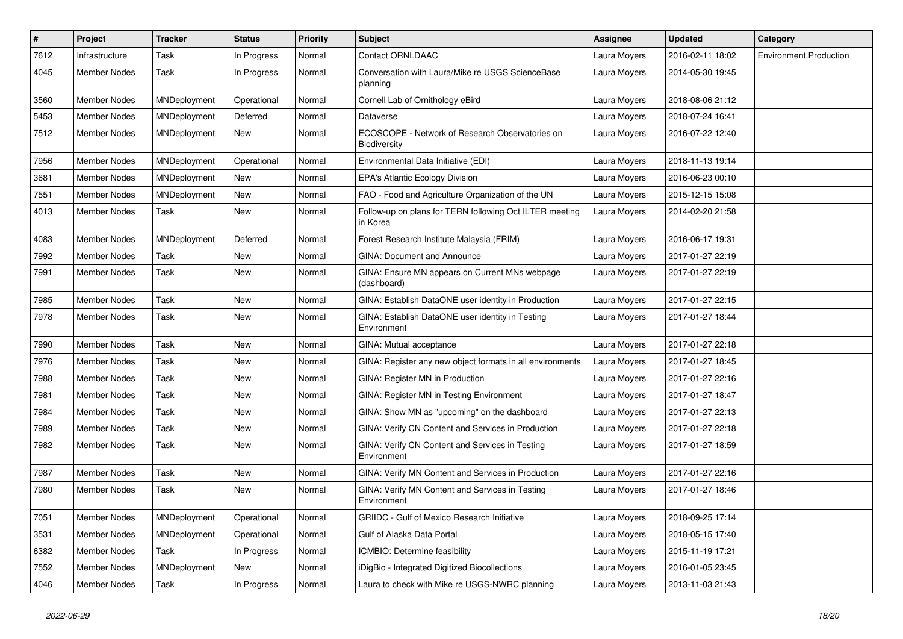| #    | Project             | <b>Tracker</b> | <b>Status</b> | <b>Priority</b> | Subject                                                             | <b>Assignee</b> | <b>Updated</b>   | Category               |
|------|---------------------|----------------|---------------|-----------------|---------------------------------------------------------------------|-----------------|------------------|------------------------|
| 7612 | Infrastructure      | Task           | In Progress   | Normal          | Contact ORNLDAAC                                                    | Laura Moyers    | 2016-02-11 18:02 | Environment.Production |
| 4045 | <b>Member Nodes</b> | Task           | In Progress   | Normal          | Conversation with Laura/Mike re USGS ScienceBase<br>planning        | Laura Moyers    | 2014-05-30 19:45 |                        |
| 3560 | <b>Member Nodes</b> | MNDeployment   | Operational   | Normal          | Cornell Lab of Ornithology eBird                                    | Laura Moyers    | 2018-08-06 21:12 |                        |
| 5453 | <b>Member Nodes</b> | MNDeployment   | Deferred      | Normal          | Dataverse                                                           | Laura Moyers    | 2018-07-24 16:41 |                        |
| 7512 | <b>Member Nodes</b> | MNDeployment   | New           | Normal          | ECOSCOPE - Network of Research Observatories on<br>Biodiversity     | Laura Moyers    | 2016-07-22 12:40 |                        |
| 7956 | <b>Member Nodes</b> | MNDeployment   | Operational   | Normal          | Environmental Data Initiative (EDI)                                 | Laura Moyers    | 2018-11-13 19:14 |                        |
| 3681 | <b>Member Nodes</b> | MNDeployment   | New           | Normal          | EPA's Atlantic Ecology Division                                     | Laura Moyers    | 2016-06-23 00:10 |                        |
| 7551 | <b>Member Nodes</b> | MNDeployment   | New           | Normal          | FAO - Food and Agriculture Organization of the UN                   | Laura Moyers    | 2015-12-15 15:08 |                        |
| 4013 | <b>Member Nodes</b> | Task           | New           | Normal          | Follow-up on plans for TERN following Oct ILTER meeting<br>in Korea | Laura Moyers    | 2014-02-20 21:58 |                        |
| 4083 | <b>Member Nodes</b> | MNDeployment   | Deferred      | Normal          | Forest Research Institute Malaysia (FRIM)                           | Laura Moyers    | 2016-06-17 19:31 |                        |
| 7992 | <b>Member Nodes</b> | Task           | New           | Normal          | GINA: Document and Announce                                         | Laura Moyers    | 2017-01-27 22:19 |                        |
| 7991 | Member Nodes        | Task           | New           | Normal          | GINA: Ensure MN appears on Current MNs webpage<br>(dashboard)       | Laura Moyers    | 2017-01-27 22:19 |                        |
| 7985 | <b>Member Nodes</b> | Task           | New           | Normal          | GINA: Establish DataONE user identity in Production                 | Laura Moyers    | 2017-01-27 22:15 |                        |
| 7978 | <b>Member Nodes</b> | Task           | New           | Normal          | GINA: Establish DataONE user identity in Testing<br>Environment     | Laura Moyers    | 2017-01-27 18:44 |                        |
| 7990 | Member Nodes        | Task           | New           | Normal          | GINA: Mutual acceptance                                             | Laura Moyers    | 2017-01-27 22:18 |                        |
| 7976 | <b>Member Nodes</b> | Task           | New           | Normal          | GINA: Register any new object formats in all environments           | Laura Moyers    | 2017-01-27 18:45 |                        |
| 7988 | Member Nodes        | Task           | New           | Normal          | GINA: Register MN in Production                                     | Laura Moyers    | 2017-01-27 22:16 |                        |
| 7981 | <b>Member Nodes</b> | Task           | <b>New</b>    | Normal          | GINA: Register MN in Testing Environment                            | Laura Moyers    | 2017-01-27 18:47 |                        |
| 7984 | Member Nodes        | Task           | New           | Normal          | GINA: Show MN as "upcoming" on the dashboard                        | Laura Moyers    | 2017-01-27 22:13 |                        |
| 7989 | Member Nodes        | Task           | New           | Normal          | GINA: Verify CN Content and Services in Production                  | Laura Moyers    | 2017-01-27 22:18 |                        |
| 7982 | <b>Member Nodes</b> | Task           | New           | Normal          | GINA: Verify CN Content and Services in Testing<br>Environment      | Laura Moyers    | 2017-01-27 18:59 |                        |
| 7987 | Member Nodes        | Task           | New           | Normal          | GINA: Verify MN Content and Services in Production                  | Laura Moyers    | 2017-01-27 22:16 |                        |
| 7980 | <b>Member Nodes</b> | Task           | New           | Normal          | GINA: Verify MN Content and Services in Testing<br>Environment      | Laura Moyers    | 2017-01-27 18:46 |                        |
| 7051 | Member Nodes        | MNDeployment   | Operational   | Normal          | GRIIDC - Gulf of Mexico Research Initiative                         | Laura Moyers    | 2018-09-25 17:14 |                        |
| 3531 | <b>Member Nodes</b> | MNDeployment   | Operational   | Normal          | Gulf of Alaska Data Portal                                          | Laura Moyers    | 2018-05-15 17:40 |                        |
| 6382 | Member Nodes        | Task           | In Progress   | Normal          | ICMBIO: Determine feasibility                                       | Laura Moyers    | 2015-11-19 17:21 |                        |
| 7552 | Member Nodes        | MNDeployment   | New           | Normal          | iDigBio - Integrated Digitized Biocollections                       | Laura Moyers    | 2016-01-05 23:45 |                        |
| 4046 | Member Nodes        | Task           | In Progress   | Normal          | Laura to check with Mike re USGS-NWRC planning                      | Laura Moyers    | 2013-11-03 21:43 |                        |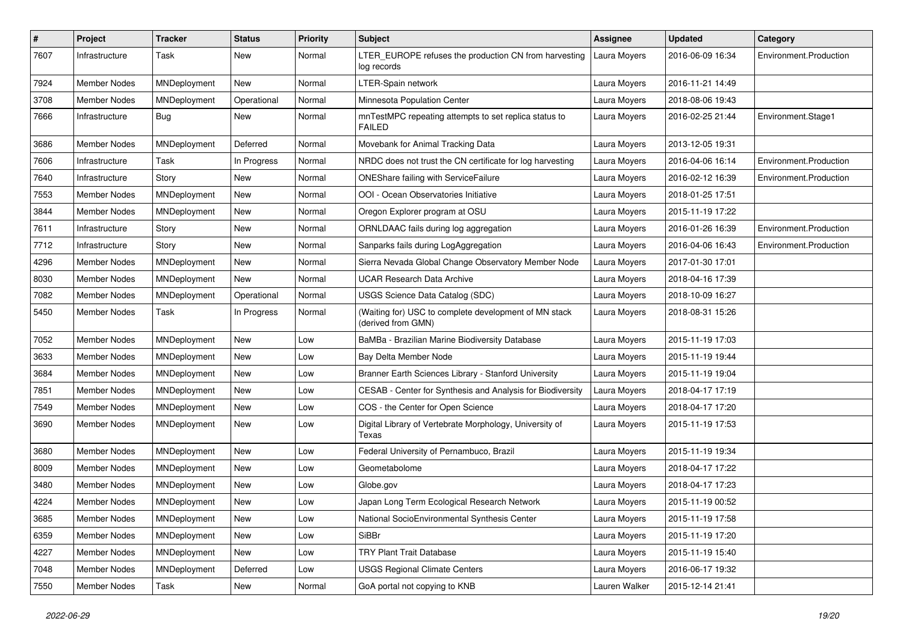| $\pmb{\#}$ | Project             | <b>Tracker</b> | <b>Status</b> | <b>Priority</b> | Subject                                                                     | <b>Assignee</b> | <b>Updated</b>   | Category               |
|------------|---------------------|----------------|---------------|-----------------|-----------------------------------------------------------------------------|-----------------|------------------|------------------------|
| 7607       | Infrastructure      | Task           | New           | Normal          | LTER_EUROPE refuses the production CN from harvesting<br>log records        | Laura Moyers    | 2016-06-09 16:34 | Environment.Production |
| 7924       | Member Nodes        | MNDeployment   | New           | Normal          | LTER-Spain network                                                          | Laura Moyers    | 2016-11-21 14:49 |                        |
| 3708       | <b>Member Nodes</b> | MNDeployment   | Operational   | Normal          | Minnesota Population Center                                                 | Laura Moyers    | 2018-08-06 19:43 |                        |
| 7666       | Infrastructure      | Bug            | New           | Normal          | mnTestMPC repeating attempts to set replica status to<br><b>FAILED</b>      | Laura Moyers    | 2016-02-25 21:44 | Environment.Stage1     |
| 3686       | <b>Member Nodes</b> | MNDeployment   | Deferred      | Normal          | Movebank for Animal Tracking Data                                           | Laura Moyers    | 2013-12-05 19:31 |                        |
| 7606       | Infrastructure      | Task           | In Progress   | Normal          | NRDC does not trust the CN certificate for log harvesting                   | Laura Moyers    | 2016-04-06 16:14 | Environment.Production |
| 7640       | Infrastructure      | Story          | New           | Normal          | ONEShare failing with ServiceFailure                                        | Laura Moyers    | 2016-02-12 16:39 | Environment.Production |
| 7553       | <b>Member Nodes</b> | MNDeployment   | <b>New</b>    | Normal          | OOI - Ocean Observatories Initiative                                        | Laura Moyers    | 2018-01-25 17:51 |                        |
| 3844       | Member Nodes        | MNDeployment   | New           | Normal          | Oregon Explorer program at OSU                                              | Laura Moyers    | 2015-11-19 17:22 |                        |
| 7611       | Infrastructure      | Story          | New           | Normal          | ORNLDAAC fails during log aggregation                                       | Laura Moyers    | 2016-01-26 16:39 | Environment.Production |
| 7712       | Infrastructure      | Story          | New           | Normal          | Sanparks fails during LogAggregation                                        | Laura Moyers    | 2016-04-06 16:43 | Environment.Production |
| 4296       | <b>Member Nodes</b> | MNDeployment   | New           | Normal          | Sierra Nevada Global Change Observatory Member Node                         | Laura Moyers    | 2017-01-30 17:01 |                        |
| 8030       | <b>Member Nodes</b> | MNDeployment   | New           | Normal          | <b>UCAR Research Data Archive</b>                                           | Laura Moyers    | 2018-04-16 17:39 |                        |
| 7082       | <b>Member Nodes</b> | MNDeployment   | Operational   | Normal          | USGS Science Data Catalog (SDC)                                             | Laura Moyers    | 2018-10-09 16:27 |                        |
| 5450       | <b>Member Nodes</b> | Task           | In Progress   | Normal          | (Waiting for) USC to complete development of MN stack<br>(derived from GMN) | Laura Moyers    | 2018-08-31 15:26 |                        |
| 7052       | <b>Member Nodes</b> | MNDeployment   | New           | Low             | BaMBa - Brazilian Marine Biodiversity Database                              | Laura Moyers    | 2015-11-19 17:03 |                        |
| 3633       | <b>Member Nodes</b> | MNDeployment   | <b>New</b>    | Low             | Bay Delta Member Node                                                       | Laura Moyers    | 2015-11-19 19:44 |                        |
| 3684       | <b>Member Nodes</b> | MNDeployment   | New           | Low             | Branner Earth Sciences Library - Stanford University                        | Laura Moyers    | 2015-11-19 19:04 |                        |
| 7851       | <b>Member Nodes</b> | MNDeployment   | New           | Low             | CESAB - Center for Synthesis and Analysis for Biodiversity                  | Laura Moyers    | 2018-04-17 17:19 |                        |
| 7549       | <b>Member Nodes</b> | MNDeployment   | <b>New</b>    | Low             | COS - the Center for Open Science                                           | Laura Moyers    | 2018-04-17 17:20 |                        |
| 3690       | <b>Member Nodes</b> | MNDeployment   | New           | Low             | Digital Library of Vertebrate Morphology, University of<br>Texas            | Laura Moyers    | 2015-11-19 17:53 |                        |
| 3680       | <b>Member Nodes</b> | MNDeployment   | <b>New</b>    | Low             | Federal University of Pernambuco, Brazil                                    | Laura Moyers    | 2015-11-19 19:34 |                        |
| 8009       | <b>Member Nodes</b> | MNDeployment   | New           | Low             | Geometabolome                                                               | Laura Moyers    | 2018-04-17 17:22 |                        |
| 3480       | <b>Member Nodes</b> | MNDeployment   | <b>New</b>    | Low             | Globe.gov                                                                   | Laura Moyers    | 2018-04-17 17:23 |                        |
| 4224       | <b>Member Nodes</b> | MNDeployment   | New           | Low             | Japan Long Term Ecological Research Network                                 | Laura Moyers    | 2015-11-19 00:52 |                        |
| 3685       | <b>Member Nodes</b> | MNDeployment   | New           | Low             | National SocioEnvironmental Synthesis Center                                | Laura Moyers    | 2015-11-19 17:58 |                        |
| 6359       | Member Nodes        | MNDeployment   | New           | Low             | SiBBr                                                                       | Laura Moyers    | 2015-11-19 17:20 |                        |
| 4227       | Member Nodes        | MNDeployment   | New           | Low             | <b>TRY Plant Trait Database</b>                                             | Laura Moyers    | 2015-11-19 15:40 |                        |
| 7048       | <b>Member Nodes</b> | MNDeployment   | Deferred      | Low             | <b>USGS Regional Climate Centers</b>                                        | Laura Moyers    | 2016-06-17 19:32 |                        |
| 7550       | <b>Member Nodes</b> | Task           | New           | Normal          | GoA portal not copying to KNB                                               | Lauren Walker   | 2015-12-14 21:41 |                        |